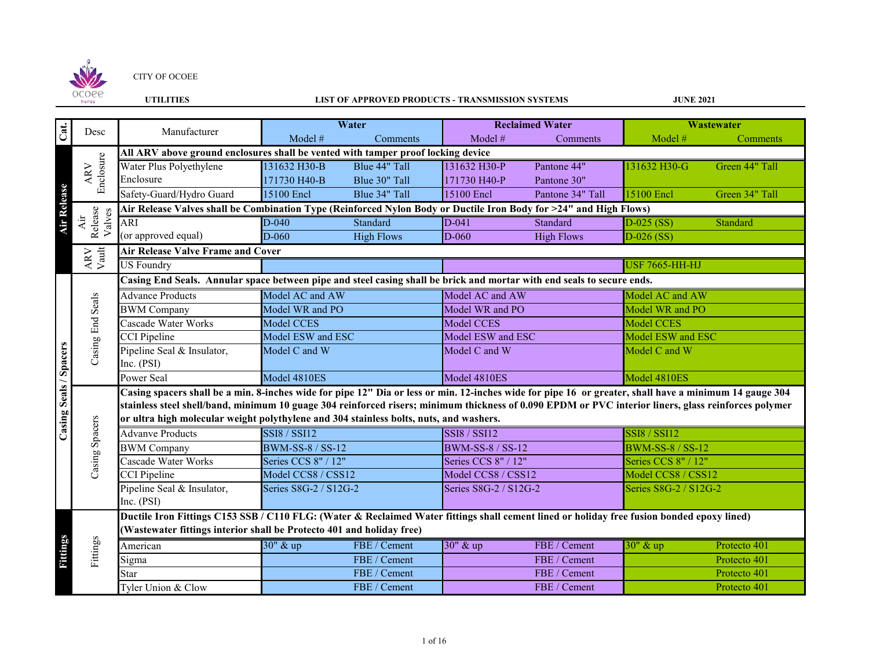

#### **UTILITIES LIST OF APPROVED PRODUCTS - TRANSMISSION SYSTEMS**

| Cat.                   | Desc                              | Manufacturer                                                                                                                                           |                         | Water             |                         | <b>Reclaimed Water</b> |                         | Wastewater     |  |  |  |
|------------------------|-----------------------------------|--------------------------------------------------------------------------------------------------------------------------------------------------------|-------------------------|-------------------|-------------------------|------------------------|-------------------------|----------------|--|--|--|
|                        |                                   |                                                                                                                                                        | Model #                 | Comments          | Model #                 | Comments               | Model #                 | Comments       |  |  |  |
|                        |                                   | All ARV above ground enclosures shall be vented with tamper proof locking device                                                                       |                         |                   |                         |                        |                         |                |  |  |  |
|                        |                                   | Water Plus Polyethylene                                                                                                                                | 131632 H30-B            | Blue 44" Tall     | 131632 H30-P            | Pantone 44"            | 131632 H30-G            | Green 44" Tall |  |  |  |
|                        | Enclosure<br>ARV                  | Enclosure                                                                                                                                              | 171730 H40-B            | Blue 30" Tall     | 171730 H40-P            | Pantone 30"            |                         |                |  |  |  |
|                        |                                   | Safety-Guard/Hydro Guard                                                                                                                               | 15100 Encl              | Blue 34" Tall     | 15100 Encl              | Pantone 34" Tall       | 15100 Encl              | Green 34" Tall |  |  |  |
| <b>Air Release</b>     |                                   | Air Release Valves shall be Combination Type (Reinforced Nylon Body or Ductile Iron Body for >24" and High Flows)                                      |                         |                   |                         |                        |                         |                |  |  |  |
|                        | Release<br>Valves<br>Air          | ARI                                                                                                                                                    | D-040                   | Standard          | $D-041$                 | Standard               | $D-025$ (SS)            | Standard       |  |  |  |
|                        |                                   | (or approved equal)                                                                                                                                    | D-060                   | <b>High Flows</b> | D-060                   | <b>High Flows</b>      | $D-026$ (SS)            |                |  |  |  |
|                        | $\frac{\text{APV}}{\text{Vault}}$ | <b>Air Release Valve Frame and Cover</b>                                                                                                               |                         |                   |                         |                        |                         |                |  |  |  |
|                        |                                   | <b>US Foundry</b>                                                                                                                                      |                         |                   |                         |                        | <b>USF 7665-HH-HJ</b>   |                |  |  |  |
|                        |                                   | Casing End Seals. Annular space between pipe and steel casing shall be brick and mortar with end seals to secure ends.                                 |                         |                   |                         |                        |                         |                |  |  |  |
|                        |                                   | <b>Advance Products</b>                                                                                                                                | Model AC and AW         |                   | Model AC and AW         |                        | Model AC and AW         |                |  |  |  |
|                        | Casing End Seals                  | <b>BWM</b> Company                                                                                                                                     | Model WR and PO         |                   | Model WR and PO         |                        | Model WR and PO         |                |  |  |  |
|                        |                                   | Cascade Water Works                                                                                                                                    | Model CCES              |                   | Model CCES              |                        | Model CCES              |                |  |  |  |
|                        |                                   | <b>CCI</b> Pipeline                                                                                                                                    | Model ESW and ESC       |                   | Model ESW and ESC       |                        | Model ESW and ESC       |                |  |  |  |
|                        |                                   | Pipeline Seal & Insulator,                                                                                                                             | Model C and W           |                   | Model C and W           |                        | Model C and W           |                |  |  |  |
|                        |                                   | Inc. $(PSI)$                                                                                                                                           |                         |                   |                         |                        |                         |                |  |  |  |
| Casing Seals / Spacers |                                   | Power Seal                                                                                                                                             | Model 4810ES            |                   | Model 4810ES            |                        | Model 4810ES            |                |  |  |  |
|                        |                                   | Casing spacers shall be a min. 8-inches wide for pipe 12" Dia or less or min. 12-inches wide for pipe 16 or greater, shall have a minimum 14 gauge 304 |                         |                   |                         |                        |                         |                |  |  |  |
|                        |                                   | stainless steel shell/band, minimum 10 guage 304 reinforced risers; minimum thickness of 0.090 EPDM or PVC interior liners, glass reinforces polymer   |                         |                   |                         |                        |                         |                |  |  |  |
|                        |                                   | or ultra high molecular weight polythylene and 304 stainless bolts, nuts, and washers.                                                                 |                         |                   |                         |                        |                         |                |  |  |  |
|                        | Casing Spacers                    | <b>Advanve Products</b>                                                                                                                                | <b>SSI8 / SSI12</b>     |                   | <b>SSI8 / SSI12</b>     |                        | <b>SSI8 / SSI12</b>     |                |  |  |  |
|                        |                                   | <b>BWM</b> Company                                                                                                                                     | <b>BWM-SS-8 / SS-12</b> |                   | <b>BWM-SS-8 / SS-12</b> |                        | <b>BWM-SS-8 / SS-12</b> |                |  |  |  |
|                        |                                   | Cascade Water Works                                                                                                                                    | Series CCS 8" / 12"     |                   | Series CCS 8" / 12"     |                        | Series CCS 8" / 12"     |                |  |  |  |
|                        |                                   | <b>CCI</b> Pipeline                                                                                                                                    | Model CCS8 / CSS12      |                   | Model CCS8 / CSS12      |                        | Model CCS8 / CSS12      |                |  |  |  |
|                        |                                   | Pipeline Seal & Insulator,                                                                                                                             | Series S8G-2 / S12G-2   |                   | Series S8G-2 / S12G-2   |                        | Series S8G-2 / S12G-2   |                |  |  |  |
|                        |                                   | Inc. $(PSI)$                                                                                                                                           |                         |                   |                         |                        |                         |                |  |  |  |
|                        |                                   | Ductile Iron Fittings C153 SSB / C110 FLG: (Water & Reclaimed Water fittings shall cement lined or holiday free fusion bonded epoxy lined)             |                         |                   |                         |                        |                         |                |  |  |  |
|                        |                                   | (Wastewater fittings interior shall be Protecto 401 and holiday free)                                                                                  |                         |                   |                         |                        |                         |                |  |  |  |
|                        |                                   | American                                                                                                                                               | 30" & up                | FBE / Cement      | 30" & up                | FBE / Cement           | 30" & up                | Protecto 401   |  |  |  |
| Fittings               | Fittings                          | Sigma                                                                                                                                                  |                         | FBE / Cement      |                         | FBE / Cement           |                         | Protecto 401   |  |  |  |
|                        |                                   | Star                                                                                                                                                   |                         | FBE / Cement      |                         | FBE / Cement           | Protecto 401            |                |  |  |  |
|                        |                                   | Tyler Union & Clow                                                                                                                                     |                         | FBE / Cement      |                         | FBE / Cement           | Protecto 401            |                |  |  |  |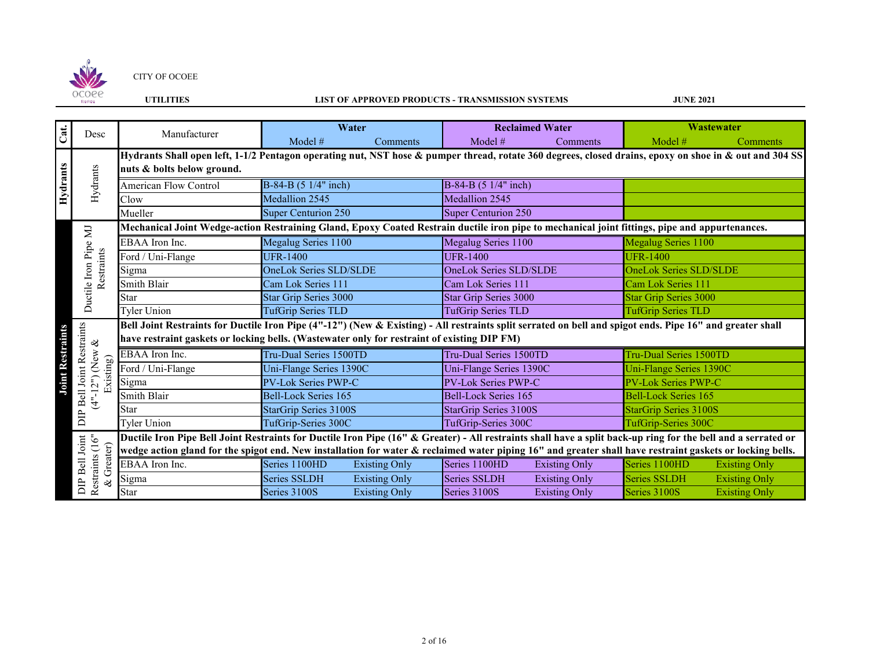

## **UTILITIES LIST OF APPROVED PRODUCTS - TRANSMISSION SYSTEMS**

| Cat.                    | Desc                                          | Manufacturer                                                                                                                                                  |                               | Water                        |                              | <b>Reclaimed Water</b>       |                               | Wastewater           |  |
|-------------------------|-----------------------------------------------|---------------------------------------------------------------------------------------------------------------------------------------------------------------|-------------------------------|------------------------------|------------------------------|------------------------------|-------------------------------|----------------------|--|
|                         |                                               |                                                                                                                                                               | Model #                       | Comments                     | Model #                      | <b>Comments</b>              | Model #                       | <b>Comments</b>      |  |
|                         |                                               | Hydrants Shall open left, 1-1/2 Pentagon operating nut, NST hose & pumper thread, rotate 360 degrees, closed drains, epoxy on shoe in & out and 304 SS        |                               |                              |                              |                              |                               |                      |  |
| Hydrants                |                                               | nuts & bolts below ground.                                                                                                                                    |                               |                              |                              |                              |                               |                      |  |
|                         | Hydrants                                      | <b>American Flow Control</b>                                                                                                                                  | B-84-B (5 1/4" inch)          |                              | B-84-B (5 1/4" inch)         |                              |                               |                      |  |
|                         |                                               | Clow                                                                                                                                                          | Medallion 2545                |                              | Medallion 2545               |                              |                               |                      |  |
|                         |                                               | Mueller                                                                                                                                                       | <b>Super Centurion 250</b>    |                              | <b>Super Centurion 250</b>   |                              |                               |                      |  |
|                         | E                                             | Mechanical Joint Wedge-action Restraining Gland, Epoxy Coated Restrain ductile iron pipe to mechanical joint fittings, pipe and appurtenances.                |                               |                              |                              |                              |                               |                      |  |
|                         |                                               | EBAA Iron Inc.                                                                                                                                                | Megalug Series 1100           |                              | Megalug Series 1100          |                              | Megalug Series 1100           |                      |  |
|                         |                                               | Ford / Uni-Flange                                                                                                                                             | <b>UFR-1400</b>               |                              | <b>UFR-1400</b>              |                              | <b>UFR-1400</b>               |                      |  |
|                         | Restraints                                    | Sigma                                                                                                                                                         | <b>OneLok Series SLD/SLDE</b> |                              | OneLok Series SLD/SLDE       |                              | <b>OneLok Series SLD/SLDE</b> |                      |  |
|                         |                                               | <b>Smith Blair</b>                                                                                                                                            | Cam Lok Series 111            |                              | Cam Lok Series 111           |                              | Cam Lok Series 111            |                      |  |
|                         | Ductile Iron Pipe                             | <b>Star</b>                                                                                                                                                   |                               | <b>Star Grip Series 3000</b> |                              | <b>Star Grip Series 3000</b> | <b>Star Grip Series 3000</b>  |                      |  |
|                         |                                               | <b>Tyler Union</b>                                                                                                                                            | <b>TufGrip Series TLD</b>     |                              | <b>TufGrip Series TLD</b>    |                              | <b>TufGrip Series TLD</b>     |                      |  |
|                         |                                               | Bell Joint Restraints for Ductile Iron Pipe (4"-12") (New & Existing) - All restraints split serrated on bell and spigot ends. Pipe 16" and greater shall     |                               |                              |                              |                              |                               |                      |  |
|                         | <b>Bell Joint Restraints</b><br>$\otimes$     | have restraint gaskets or locking bells. (Wastewater only for restraint of existing DIP FM)                                                                   |                               |                              |                              |                              |                               |                      |  |
| <b>Joint Restraints</b> | New)                                          | EBAA Iron Inc.                                                                                                                                                | Tru-Dual Series 1500TD        |                              | Tru-Dual Series 1500TD       |                              | Tru-Dual Series 1500TD        |                      |  |
|                         | Existing)                                     | Ford / Uni-Flange                                                                                                                                             | Uni-Flange Series 1390C       |                              | Uni-Flange Series 1390C      |                              | Uni-Flange Series 1390C       |                      |  |
|                         | $\sim$                                        | Sigma                                                                                                                                                         | PV-Lok Series PWP-C           |                              | PV-Lok Series PWP-C          |                              | <b>PV-Lok Series PWP-C</b>    |                      |  |
|                         | $\overline{1.4}$                              | <b>Smith Blair</b>                                                                                                                                            | <b>Bell-Lock Series 165</b>   |                              | <b>Bell-Lock Series 165</b>  |                              | <b>Bell-Lock Series 165</b>   |                      |  |
|                         |                                               | Star                                                                                                                                                          | <b>StarGrip Series 3100S</b>  |                              | <b>StarGrip Series 3100S</b> |                              | <b>StarGrip Series 3100S</b>  |                      |  |
|                         | $\Xi$                                         | <b>Tyler Union</b>                                                                                                                                            | TufGrip-Series 300C           |                              | TufGrip-Series 300C          |                              | TufGrip-Series 300C           |                      |  |
|                         |                                               | Ductile Iron Pipe Bell Joint Restraints for Ductile Iron Pipe (16" & Greater) - All restraints shall have a split back-up ring for the bell and a serrated or |                               |                              |                              |                              |                               |                      |  |
|                         | DIP Bell Joint<br>Restraints (16"<br>Greater) | wedge action gland for the spigot end. New installation for water & reclaimed water piping 16" and greater shall have restraint gaskets or locking bells.     |                               |                              |                              |                              |                               |                      |  |
|                         |                                               | EBAA Iron Inc.                                                                                                                                                | Series 1100HD                 | <b>Existing Only</b>         | Series 1100HD                | <b>Existing Only</b>         | Series 1100HD                 | <b>Existing Only</b> |  |
|                         | ష                                             | Sigma                                                                                                                                                         | <b>Series SSLDH</b>           | <b>Existing Only</b>         | Series SSLDH                 | <b>Existing Only</b>         | Series SSLDH                  | <b>Existing Only</b> |  |
|                         |                                               | Star                                                                                                                                                          | Series 3100S                  | <b>Existing Only</b>         | Series 3100S                 | <b>Existing Only</b>         | Series 3100S                  | <b>Existing Only</b> |  |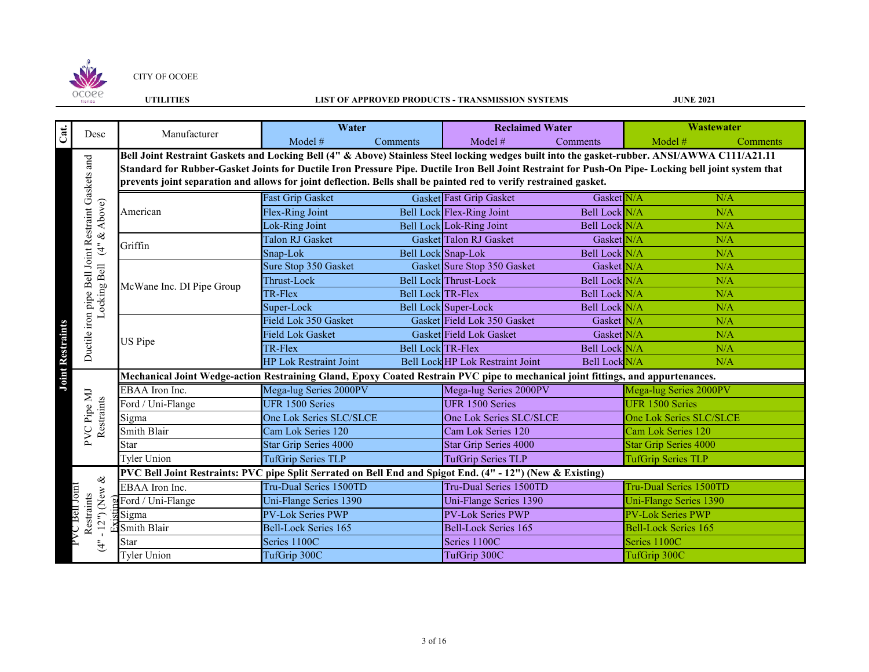

## **UTILITIES LIST OF APPROVED PRODUCTS - TRANSMISSION SYSTEMS**

| Cat.                    | Desc                                               | Manufacturer                                                                                                                                         | Water                         |                          | <b>Reclaimed Water</b>           |               |                              | <b>Wastewater</b> |  |
|-------------------------|----------------------------------------------------|------------------------------------------------------------------------------------------------------------------------------------------------------|-------------------------------|--------------------------|----------------------------------|---------------|------------------------------|-------------------|--|
|                         |                                                    |                                                                                                                                                      | Model $#$                     | Comments                 | Model #                          | Comments      | Model #                      | Comments          |  |
|                         |                                                    | Bell Joint Restraint Gaskets and Locking Bell (4" & Above) Stainless Steel locking wedges built into the gasket-rubber. ANSI/AWWA C111/A21.11        |                               |                          |                                  |               |                              |                   |  |
|                         |                                                    | Standard for Rubber-Gasket Joints for Ductile Iron Pressure Pipe. Ductile Iron Bell Joint Restraint for Push-On Pipe- Locking bell joint system that |                               |                          |                                  |               |                              |                   |  |
|                         |                                                    | prevents joint separation and allows for joint deflection. Bells shall be painted red to verify restrained gasket.                                   |                               |                          |                                  |               |                              |                   |  |
|                         |                                                    |                                                                                                                                                      | <b>Fast Grip Gasket</b>       |                          | <b>Gasket Fast Grip Gasket</b>   | Gasket N/A    |                              | N/A               |  |
|                         | & Above)                                           | American                                                                                                                                             | Flex-Ring Joint               |                          | Bell Lock Flex-Ring Joint        | Bell Lock N/A |                              | N/A               |  |
|                         |                                                    |                                                                                                                                                      | Lok-Ring Joint                |                          | Bell Lock Lok-Ring Joint         | Bell Lock N/A |                              | N/A               |  |
|                         |                                                    | Griffin                                                                                                                                              | Talon RJ Gasket               |                          | Gasket Talon RJ Gasket           | Gasket N/A    |                              | N/A               |  |
|                         | $\ddot{\tilde{\tau}}$                              |                                                                                                                                                      | Snap-Lok                      | Bell Lock Snap-Lok       |                                  | Bell Lock N/A |                              | N/A               |  |
|                         |                                                    |                                                                                                                                                      | Sure Stop 350 Gasket          |                          | Gasket Sure Stop 350 Gasket      | Gasket N/A    |                              | N/A               |  |
|                         |                                                    | McWane Inc. DI Pipe Group                                                                                                                            | Thrust-Lock                   |                          | Bell Lock Thrust-Lock            | Bell Lock N/A |                              | N/A               |  |
|                         |                                                    |                                                                                                                                                      | TR-Flex                       | Bell Lock TR-Flex        |                                  | Bell Lock N/A |                              | N/A               |  |
|                         | Locking Bell                                       |                                                                                                                                                      | Super-Lock                    |                          | Bell Lock Super-Lock             | Bell Lock N/A |                              | N/A               |  |
|                         |                                                    |                                                                                                                                                      | Field Lok 350 Gasket          |                          | Gasket Field Lok 350 Gasket      | Gasket N/A    |                              | N/A               |  |
|                         | Ductile iron pipe Bell Joint Restraint Gaskets and | US Pipe                                                                                                                                              | <b>Field Lok Gasket</b>       |                          | <b>Gasket Field Lok Gasket</b>   | Gasket N/A    |                              | N/A               |  |
|                         |                                                    |                                                                                                                                                      | TR-Flex                       | <b>Bell Lock TR-Flex</b> |                                  | Bell Lock N/A |                              | N/A               |  |
|                         |                                                    |                                                                                                                                                      | <b>HP Lok Restraint Joint</b> |                          | Bell Lock HP Lok Restraint Joint | Bell Lock N/A |                              | N/A               |  |
| <b>Joint Restraints</b> |                                                    | Mechanical Joint Wedge-action Restraining Gland, Epoxy Coated Restrain PVC pipe to mechanical joint fittings, and appurtenances.                     |                               |                          |                                  |               |                              |                   |  |
|                         |                                                    | EBAA Iron Inc.                                                                                                                                       | Mega-lug Series 2000PV        |                          | Mega-lug Series 2000PV           |               | Mega-lug Series 2000PV       |                   |  |
|                         | PVC Pipe MJ<br>Restraints                          | Ford / Uni-Flange                                                                                                                                    | UFR 1500 Series               |                          | <b>UFR 1500 Series</b>           |               | <b>UFR 1500 Series</b>       |                   |  |
|                         |                                                    | Sigma                                                                                                                                                | One Lok Series SLC/SLCE       |                          | One Lok Series SLC/SLCE          |               | One Lok Series SLC/SLCE      |                   |  |
|                         |                                                    | Smith Blair                                                                                                                                          | Cam Lok Series 120            |                          | Cam Lok Series 120               |               | Cam Lok Series 120           |                   |  |
|                         |                                                    | Star                                                                                                                                                 | <b>Star Grip Series 4000</b>  |                          | <b>Star Grip Series 4000</b>     |               | <b>Star Grip Series 4000</b> |                   |  |
|                         |                                                    | Tyler Union                                                                                                                                          | <b>TufGrip Series TLP</b>     |                          | <b>TufGrip Series TLP</b>        |               | <b>TufGrip Series TLP</b>    |                   |  |
|                         |                                                    | PVC Bell Joint Restraints: PVC pipe Split Serrated on Bell End and Spigot End. (4" - 12") (New & Existing)                                           |                               |                          |                                  |               |                              |                   |  |
|                         | ళ                                                  | EBAA Iron Inc.                                                                                                                                       | Tru-Dual Series 1500TD        |                          | Tru-Dual Series 1500TD           |               | Tru-Dual Series 1500TD       |                   |  |
|                         | New                                                | Ford / Uni-Flange                                                                                                                                    | Uni-Flange Series 1390        |                          | Uni-Flange Series 1390           |               | Uni-Flange Series 1390       |                   |  |
|                         | VC Bell Joint<br>Restraints<br>12 <sup>m</sup>     | Sigma                                                                                                                                                | PV-Lok Series PWP             |                          | <b>PV-Lok Series PWP</b>         |               | <b>PV-Lok Series PWP</b>     |                   |  |
|                         |                                                    | Smith Blair                                                                                                                                          | <b>Bell-Lock Series 165</b>   |                          | <b>Bell-Lock Series 165</b>      |               | <b>Bell-Lock Series 165</b>  |                   |  |
|                         | $\ddot{\tilde{\tau}}$                              | Star                                                                                                                                                 | Series 1100C                  |                          | Series 1100C                     |               | Series 1100C                 |                   |  |
|                         |                                                    | <b>Tyler Union</b>                                                                                                                                   | TufGrip 300C                  |                          | TufGrip 300C                     |               | TufGrip 300C                 |                   |  |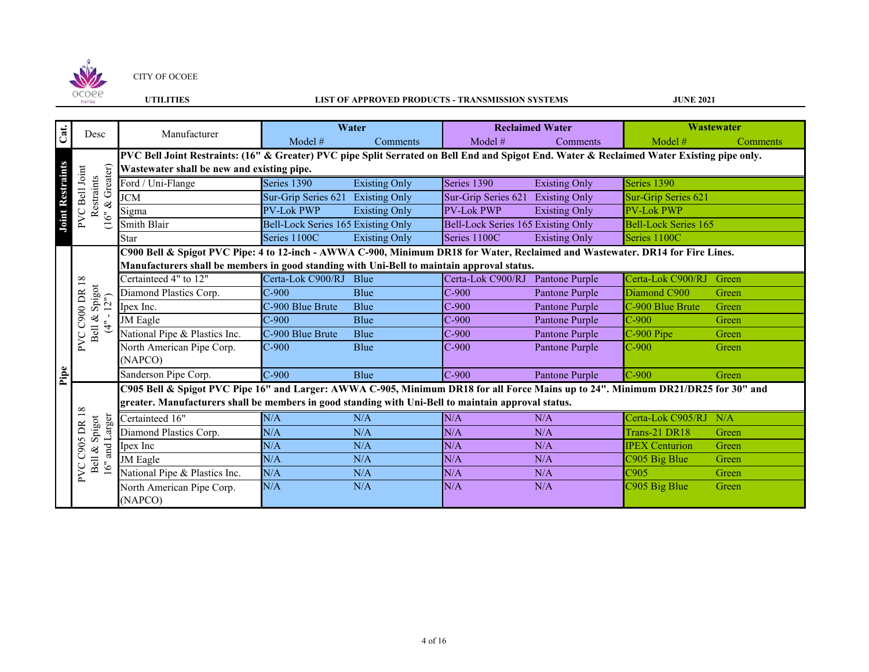

## **UTILITIES LIST OF APPROVED PRODUCTS - TRANSMISSION SYSTEMS**

| Cat.                    | Desc                                     | Manufacturer                                                                                                                               |                                    | Water                |                                    | <b>Reclaimed Water</b> |                             | Wastewater |
|-------------------------|------------------------------------------|--------------------------------------------------------------------------------------------------------------------------------------------|------------------------------------|----------------------|------------------------------------|------------------------|-----------------------------|------------|
|                         |                                          |                                                                                                                                            | Model #                            | <b>Comments</b>      | Model #                            | Comments               | Model $#$                   | Comments   |
|                         |                                          | PVC Bell Joint Restraints: (16" & Greater) PVC pipe Split Serrated on Bell End and Spigot End. Water & Reclaimed Water Existing pipe only. |                                    |                      |                                    |                        |                             |            |
|                         |                                          | Wastewater shall be new and existing pipe.                                                                                                 |                                    |                      |                                    |                        |                             |            |
| <b>Joint Restraints</b> | Greater)<br>PVC Bell Joint<br>Restraints | Ford / Uni-Flange                                                                                                                          | Series 1390                        | <b>Existing Only</b> | Series 1390                        | <b>Existing Only</b>   | Series 1390                 |            |
|                         |                                          | <b>JCM</b>                                                                                                                                 | Sur-Grip Series 621                | <b>Existing Only</b> | Sur-Grip Series 621                | <b>Existing Only</b>   | Sur-Grip Series 621         |            |
|                         | $(16" \&$                                | Sigma                                                                                                                                      | <b>PV-Lok PWP</b>                  | <b>Existing Only</b> | <b>PV-Lok PWP</b>                  | <b>Existing Only</b>   | <b>PV-Lok PWP</b>           |            |
|                         |                                          | Smith Blair                                                                                                                                | Bell-Lock Series 165 Existing Only |                      | Bell-Lock Series 165 Existing Only |                        | <b>Bell-Lock Series 165</b> |            |
|                         |                                          | <b>Star</b>                                                                                                                                | Series 1100C                       | <b>Existing Only</b> | Series 1100C                       | <b>Existing Only</b>   | Series 1100C                |            |
|                         |                                          | C900 Bell & Spigot PVC Pipe: 4 to 12-inch - AWWA C-900, Minimum DR18 for Water, Reclaimed and Wastewater. DR14 for Fire Lines.             |                                    |                      |                                    |                        |                             |            |
|                         |                                          | Manufacturers shall be members in good standing with Uni-Bell to maintain approval status.                                                 |                                    |                      |                                    |                        |                             |            |
|                         | $18\,$                                   | Certainteed 4" to 12"                                                                                                                      | Certa-Lok C900/RJ Blue             |                      | Certa-Lok C900/RJ                  | Pantone Purple         | Certa-Lok C900/RJ           | Green      |
|                         | & Spigot<br>$[12^n]$<br><b>C900 DR</b>   | Diamond Plastics Corp.                                                                                                                     | $C-900$                            | <b>Blue</b>          | $C-900$                            | Pantone Purple         | Diamond C900                | Green      |
|                         |                                          | Ipex Inc.                                                                                                                                  | C-900 Blue Brute                   | <b>Blue</b>          | $C-900$                            | Pantone Purple         | C-900 Blue Brute            | Green      |
|                         | $\ddot{\ddot{\tau}}$                     | <b>JM</b> Eagle                                                                                                                            | $C-900$                            | Blue                 | $C-900$                            | Pantone Purple         | $C-900$                     | Green      |
|                         | Bell<br>PVC                              | National Pipe & Plastics Inc.                                                                                                              | C-900 Blue Brute                   | <b>Blue</b>          | $C-900$                            | Pantone Purple         | C-900 Pipe                  | Green      |
|                         |                                          | North American Pipe Corp.                                                                                                                  | $C-900$                            | Blue                 | $C-900$                            | Pantone Purple         | $C-900$                     | Green      |
|                         |                                          | (NAPCO)                                                                                                                                    |                                    |                      |                                    |                        |                             |            |
| Pipe                    |                                          | Sanderson Pipe Corp.                                                                                                                       | $C-900$                            | Blue                 | $C-900$                            | Pantone Purple         | $C-900$                     | Green      |
|                         |                                          | C905 Bell & Spigot PVC Pipe 16" and Larger: AWWA C-905, Minimum DR18 for all Force Mains up to 24". Minimum DR21/DR25 for 30" and          |                                    |                      |                                    |                        |                             |            |
|                         | $\infty$                                 | greater. Manufacturers shall be members in good standing with Uni-Bell to maintain approval status.                                        |                                    |                      |                                    |                        |                             |            |
|                         |                                          | Certainteed 16"                                                                                                                            | N/A                                | N/A                  | N/A                                | N/A                    | Certa-Lok C905/RJ           | N/A        |
|                         | and Larger<br>Spigot<br>DR               | Diamond Plastics Corp.                                                                                                                     | N/A                                | N/A                  | N/A                                | N/A                    | Trans-21 DR18               | Green      |
|                         | C905<br>&                                | Ipex Inc                                                                                                                                   | N/A                                | N/A                  | N/A                                | N/A                    | <b>IPEX Centurion</b>       | Green      |
|                         | Bell                                     | <b>JM</b> Eagle                                                                                                                            | N/A                                | N/A                  | N/A                                | N/A                    | C905 Big Blue               | Green      |
|                         | 16"<br>PVC                               | National Pipe & Plastics Inc.                                                                                                              | N/A                                | N/A                  | N/A                                | N/A                    | C <sub>905</sub>            | Green      |
|                         |                                          | North American Pipe Corp.                                                                                                                  | N/A                                | N/A                  | N/A                                | N/A                    | C905 Big Blue               | Green      |
|                         |                                          | (NAPCO)                                                                                                                                    |                                    |                      |                                    |                        |                             |            |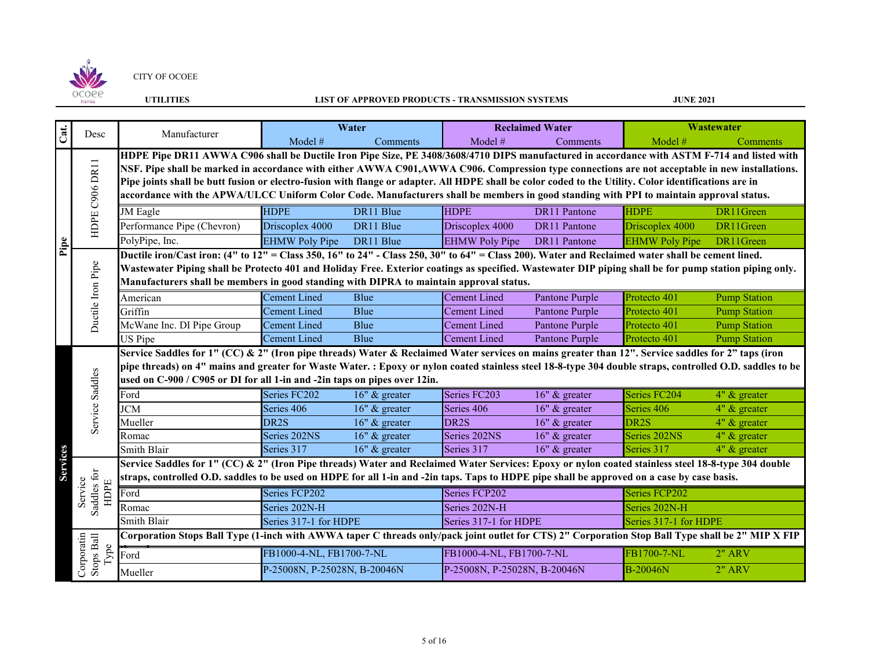

## **UTILITIES LIST OF APPROVED PRODUCTS - TRANSMISSION SYSTEMS**

|                 | Desc                             | Manufacturer                                                                                                                                                                                                                           |                              | Water           |                              | <b>Reclaimed Water</b> |                       | <b>Wastewater</b>   |  |  |
|-----------------|----------------------------------|----------------------------------------------------------------------------------------------------------------------------------------------------------------------------------------------------------------------------------------|------------------------------|-----------------|------------------------------|------------------------|-----------------------|---------------------|--|--|
| Cat.            |                                  |                                                                                                                                                                                                                                        | Model #                      | Comments        | Model $#$                    | Comments               | Model #               | Comments            |  |  |
|                 |                                  | HDPE Pipe DR11 AWWA C906 shall be Ductile Iron Pipe Size, PE 3408/3608/4710 DIPS manufactured in accordance with ASTM F-714 and listed with                                                                                            |                              |                 |                              |                        |                       |                     |  |  |
|                 |                                  | NSF. Pipe shall be marked in accordance with either AWWA C901,AWWA C906. Compression type connections are not acceptable in new installations.                                                                                         |                              |                 |                              |                        |                       |                     |  |  |
|                 |                                  | Pipe joints shall be butt fusion or electro-fusion with flange or adapter. All HDPE shall be color coded to the Utility. Color identifications are in                                                                                  |                              |                 |                              |                        |                       |                     |  |  |
|                 |                                  | accordance with the APWA/ULCC Uniform Color Code. Manufacturers shall be members in good standing with PPI to maintain approval status.                                                                                                |                              |                 |                              |                        |                       |                     |  |  |
|                 |                                  | <b>JM</b> Eagle                                                                                                                                                                                                                        | <b>HDPE</b>                  | DR11 Blue       | <b>HDPE</b>                  | <b>DR11 Pantone</b>    | <b>HDPE</b>           | DR11Green           |  |  |
|                 | HDPE C906 DR11                   | Performance Pipe (Chevron)                                                                                                                                                                                                             | Driscoplex 4000              | DR11 Blue       | Driscoplex 4000              | <b>DR11 Pantone</b>    | Driscoplex 4000       | DR11Green           |  |  |
| <b>Pipe</b>     |                                  | PolyPipe, Inc.                                                                                                                                                                                                                         | <b>EHMW Poly Pipe</b>        | DR11 Blue       | <b>EHMW Poly Pipe</b>        | DR11 Pantone           | <b>EHMW Poly Pipe</b> | DR11Green           |  |  |
|                 |                                  | Ductile iron/Cast iron: (4" to 12" = Class 350, 16" to 24" - Class 250, 30" to 64" = Class 200). Water and Reclaimed water shall be cement lined.                                                                                      |                              |                 |                              |                        |                       |                     |  |  |
|                 |                                  | Wastewater Piping shall be Protecto 401 and Holiday Free. Exterior coatings as specified. Wastewater DIP piping shall be for pump station piping only.                                                                                 |                              |                 |                              |                        |                       |                     |  |  |
|                 | Ductile Iron Pipe                | Manufacturers shall be members in good standing with DIPRA to maintain approval status.                                                                                                                                                |                              |                 |                              |                        |                       |                     |  |  |
|                 |                                  | American                                                                                                                                                                                                                               | <b>Cement Lined</b>          | <b>Blue</b>     | <b>Cement Lined</b>          | Pantone Purple         | Protecto 401          | <b>Pump Station</b> |  |  |
|                 |                                  | Griffin                                                                                                                                                                                                                                | <b>Cement Lined</b>          | Blue            | <b>Cement Lined</b>          | Pantone Purple         | Protecto 401          | <b>Pump Station</b> |  |  |
|                 |                                  | McWane Inc. DI Pipe Group                                                                                                                                                                                                              | <b>Cement Lined</b>          | Blue            | <b>Cement Lined</b>          | Pantone Purple         | Protecto 401          | <b>Pump Station</b> |  |  |
|                 |                                  | US Pipe                                                                                                                                                                                                                                | <b>Cement Lined</b>          | Blue            | <b>Cement Lined</b>          | Pantone Purple         | Protecto 401          | <b>Pump Station</b> |  |  |
|                 |                                  | Service Saddles for 1" (CC) & 2" (Iron pipe threads) Water & Reclaimed Water services on mains greater than 12". Service saddles for 2" taps (iron                                                                                     |                              |                 |                              |                        |                       |                     |  |  |
|                 |                                  | pipe threads) on 4" mains and greater for Waste Water. : Epoxy or nylon coated stainless steel 18-8-type 304 double straps, controlled O.D. saddles to be<br>used on C-900 / C905 or DI for all 1-in and -2in taps on pipes over 12in. |                              |                 |                              |                        |                       |                     |  |  |
|                 | Service Saddles                  |                                                                                                                                                                                                                                        |                              |                 |                              |                        |                       |                     |  |  |
|                 |                                  | Ford                                                                                                                                                                                                                                   | Series FC202                 | 16" & greater   | Series FC203                 | 16" & greater          | Series FC204          | 4" & greater        |  |  |
|                 |                                  | <b>JCM</b>                                                                                                                                                                                                                             | Series 406                   | 16" & greater   | Series 406                   | 16" & greater          | Series 406            | 4" & greater        |  |  |
|                 |                                  | Mueller                                                                                                                                                                                                                                | DR <sub>2S</sub>             | $16"$ & greater | DR <sub>2S</sub>             | $16"$ & greater        | DR <sub>2S</sub>      | $4"$ & greater      |  |  |
|                 |                                  | Romac                                                                                                                                                                                                                                  | Series 202NS                 | $16"$ & greater | Series 202NS                 | $16"$ & greater        | Series 202NS          | $4"$ & greater      |  |  |
| <b>Services</b> |                                  | Smith Blair                                                                                                                                                                                                                            | Series 317                   | $16"$ & greater | Series 317                   | 16" & greater          | Series 317            | $4"$ & greater      |  |  |
|                 |                                  | Service Saddles for 1" (CC) & 2" (Iron Pipe threads) Water and Reclaimed Water Services: Epoxy or nylon coated stainless steel 18-8-type 304 double                                                                                    |                              |                 |                              |                        |                       |                     |  |  |
|                 | Saddles for                      | straps, controlled O.D. saddles to be used on HDPE for all 1-in and -2in taps. Taps to HDPE pipe shall be approved on a case by case basis.                                                                                            |                              |                 |                              |                        |                       |                     |  |  |
|                 | Service<br>HDPE                  | Ford                                                                                                                                                                                                                                   | Series FCP202                |                 | Series FCP202                |                        | Series FCP202         |                     |  |  |
|                 |                                  | Romac                                                                                                                                                                                                                                  | Series 202N-H                |                 | Series 202N-H                |                        | Series 202N-H         |                     |  |  |
|                 |                                  | Smith Blair                                                                                                                                                                                                                            | Series 317-1 for HDPE        |                 | Series 317-1 for HDPE        |                        | Series 317-1 for HDPE |                     |  |  |
|                 |                                  | Corporation Stops Ball Type (1-inch with AWWA taper C threads only/pack joint outlet for CTS) 2" Corporation Stop Ball Type shall be 2" MIP X FIP                                                                                      |                              |                 |                              |                        |                       |                     |  |  |
|                 | Corporatin<br>Stops Ball<br>Type | Ford                                                                                                                                                                                                                                   | FB1000-4-NL, FB1700-7-NL     |                 | FB1000-4-NL, FB1700-7-NL     |                        | FB1700-7-NL           | $2"$ ARV            |  |  |
|                 |                                  | Mueller                                                                                                                                                                                                                                | P-25008N, P-25028N, B-20046N |                 | P-25008N, P-25028N, B-20046N |                        | <b>B-20046N</b>       | <b>2" ARV</b>       |  |  |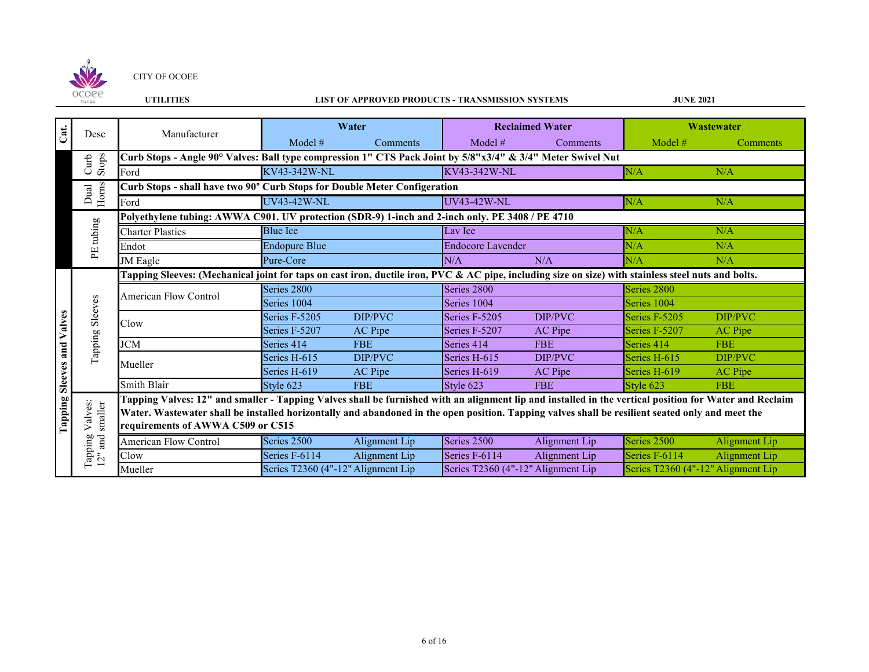

## **UTILITIES LIST OF APPROVED PRODUCTS - TRANSMISSION SYSTEMS**

| Cat.                       | Desc                          | Manufacturer                                                                                                                                                                                                                                                                                                                                    |                                    | Water         |                    | <b>Reclaimed Water</b>             | Wastewater    |                                    |  |  |
|----------------------------|-------------------------------|-------------------------------------------------------------------------------------------------------------------------------------------------------------------------------------------------------------------------------------------------------------------------------------------------------------------------------------------------|------------------------------------|---------------|--------------------|------------------------------------|---------------|------------------------------------|--|--|
|                            |                               |                                                                                                                                                                                                                                                                                                                                                 | Model #                            | Comments      | Model $#$          | Comments                           | Model #       | Comments                           |  |  |
|                            | Stops<br>Curb                 | Curb Stops - Angle 90° Valves: Ball type compression 1" CTS Pack Joint by 5/8"x3/4" & 3/4" Meter Swivel Nut                                                                                                                                                                                                                                     |                                    |               |                    |                                    |               |                                    |  |  |
|                            |                               | Ford                                                                                                                                                                                                                                                                                                                                            | KV43-342W-NL                       |               | KV43-342W-NL       |                                    | N/A           | N/A                                |  |  |
|                            |                               | Curb Stops - shall have two 90° Curb Stops for Double Meter Configeration                                                                                                                                                                                                                                                                       |                                    |               |                    |                                    |               |                                    |  |  |
|                            | Horns<br>Dual                 | Ford                                                                                                                                                                                                                                                                                                                                            | <b>UV43-42W-NL</b>                 |               | <b>UV43-42W-NL</b> |                                    | N/A           | N/A                                |  |  |
|                            |                               | Polyethylene tubing: AWWA C901. UV protection (SDR-9) 1-inch and 2-inch only. PE 3408 / PE 4710                                                                                                                                                                                                                                                 |                                    |               |                    |                                    |               |                                    |  |  |
|                            | tubing                        | <b>Charter Plastics</b>                                                                                                                                                                                                                                                                                                                         | <b>Blue Ice</b>                    |               | Lav Ice            |                                    | N/A           | N/A                                |  |  |
|                            |                               | Endot                                                                                                                                                                                                                                                                                                                                           | <b>Endopure Blue</b>               |               |                    | <b>Endocore Lavender</b>           |               | N/A                                |  |  |
|                            | ΡË                            | JM Eagle                                                                                                                                                                                                                                                                                                                                        | Pure-Core                          |               | N/A                | N/A                                | N/A           | N/A                                |  |  |
|                            |                               | Tapping Sleeves: (Mechanical joint for taps on cast iron, ductile iron, PVC & AC pipe, including size on size) with stainless steel nuts and bolts.                                                                                                                                                                                             |                                    |               |                    |                                    |               |                                    |  |  |
|                            | Sleeves                       | <b>American Flow Control</b>                                                                                                                                                                                                                                                                                                                    | Series 2800                        |               | Series 2800        |                                    | Series 2800   |                                    |  |  |
|                            |                               |                                                                                                                                                                                                                                                                                                                                                 | Series 1004                        |               | Series 1004        |                                    | Series 1004   |                                    |  |  |
|                            |                               | Clow                                                                                                                                                                                                                                                                                                                                            | Series F-5205                      | DIP/PVC       | Series F-5205      | DIP/PVC                            | Series F-5205 | DIP/PVC                            |  |  |
|                            |                               |                                                                                                                                                                                                                                                                                                                                                 | Series F-5207                      | AC Pipe       | Series F-5207      | AC Pipe                            | Series F-5207 | <b>AC</b> Pipe                     |  |  |
|                            |                               | JCM                                                                                                                                                                                                                                                                                                                                             | Series 414                         | <b>FBE</b>    | Series 414         | <b>FBE</b>                         | Series 414    | <b>FBE</b>                         |  |  |
|                            | Tapping                       | Mueller                                                                                                                                                                                                                                                                                                                                         | Series H-615                       | DIP/PVC       | Series H-615       | DIP/PVC                            | Series H-615  | DIP/PVC                            |  |  |
|                            |                               |                                                                                                                                                                                                                                                                                                                                                 | Series H-619                       | AC Pipe       | Series H-619       | AC Pipe                            | Series H-619  | AC Pipe                            |  |  |
|                            |                               | Smith Blair                                                                                                                                                                                                                                                                                                                                     | Style 623                          | <b>FBE</b>    | Style 623          | <b>FBE</b>                         | Style 623     | <b>FBE</b>                         |  |  |
| Tapping Sleeves and Valves | Valves:<br>smaller            | Tapping Valves: 12" and smaller - Tapping Valves shall be furnished with an alignment lip and installed in the vertical position for Water and Reclaim<br>Water. Wastewater shall be installed horizontally and abandoned in the open position. Tapping valves shall be resilient seated only and meet the<br>requirements of AWWA C509 or C515 |                                    |               |                    |                                    |               |                                    |  |  |
|                            | Tapping<br>$12^{\circ}$ and : | <b>American Flow Control</b>                                                                                                                                                                                                                                                                                                                    | Series 2500                        | Alignment Lip | Series 2500        | Alignment Lip                      | Series 2500   | Alignment Lip                      |  |  |
|                            |                               | Clow                                                                                                                                                                                                                                                                                                                                            | Series F-6114                      | Alignment Lip | Series F-6114      | Alignment Lip                      | Series F-6114 | Alignment Lip                      |  |  |
|                            |                               | Mueller                                                                                                                                                                                                                                                                                                                                         | Series T2360 (4"-12" Alignment Lip |               |                    | Series T2360 (4"-12" Alignment Lip |               | Series T2360 (4"-12" Alignment Lip |  |  |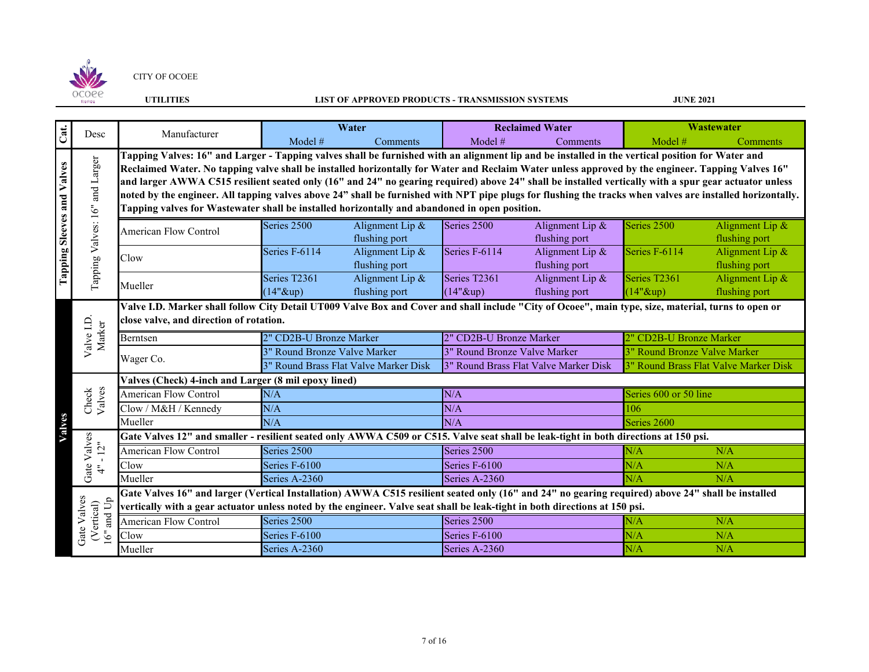

## **UTILITIES LIST OF APPROVED PRODUCTS - TRANSMISSION SYSTEMS**

| Cat.                       | Desc                                | Water<br>Manufacturer                                                                                                                                                                                                                                                                                                                                                                                                                                                                                                                                                                                                                                                                                                         |                              |                                       |                              | <b>Reclaimed Water</b>                | Wastewater                   |                                       |  |  |  |
|----------------------------|-------------------------------------|-------------------------------------------------------------------------------------------------------------------------------------------------------------------------------------------------------------------------------------------------------------------------------------------------------------------------------------------------------------------------------------------------------------------------------------------------------------------------------------------------------------------------------------------------------------------------------------------------------------------------------------------------------------------------------------------------------------------------------|------------------------------|---------------------------------------|------------------------------|---------------------------------------|------------------------------|---------------------------------------|--|--|--|
|                            |                                     |                                                                                                                                                                                                                                                                                                                                                                                                                                                                                                                                                                                                                                                                                                                               | Model #                      | Comments                              | Model $#$                    | Comments                              | Model $#$                    | Comments                              |  |  |  |
| Tapping Sleeves and Valves | and Larger                          | Tapping Valves: 16" and Larger - Tapping valves shall be furnished with an alignment lip and be installed in the vertical position for Water and<br>Reclaimed Water. No tapping valve shall be installed horizontally for Water and Reclaim Water unless approved by the engineer. Tapping Valves 16"<br>and larger AWWA C515 resilient seated only (16" and 24" no gearing required) above 24" shall be installed vertically with a spur gear actuator unless<br>noted by the engineer. All tapping valves above 24" shall be furnished with NPT pipe plugs for flushing the tracks when valves are installed horizontally.<br>Tapping valves for Wastewater shall be installed horizontally and abandoned in open position. |                              |                                       |                              |                                       |                              |                                       |  |  |  |
|                            | Tapping Valves: 16"                 | American Flow Control                                                                                                                                                                                                                                                                                                                                                                                                                                                                                                                                                                                                                                                                                                         | Series 2500                  | Alignment Lip &<br>flushing port      | Series 2500                  | Alignment Lip &<br>flushing port      | Series 2500                  | Alignment Lip &<br>flushing port      |  |  |  |
|                            |                                     | Clow                                                                                                                                                                                                                                                                                                                                                                                                                                                                                                                                                                                                                                                                                                                          | Series F-6114                | Alignment Lip &<br>flushing port      | Series F-6114                | Alignment Lip &<br>flushing port      | Series F-6114                | Alignment Lip &<br>flushing port      |  |  |  |
|                            |                                     | Mueller                                                                                                                                                                                                                                                                                                                                                                                                                                                                                                                                                                                                                                                                                                                       | Series T2361<br>$(14"$ &up)  | Alignment Lip &<br>flushing port      | Series T2361<br>$(14"$ &up)  | Alignment Lip &<br>flushing port      | Series T2361<br>$(14"$ &up)  | Alignment Lip &<br>flushing port      |  |  |  |
|                            |                                     | Valve I.D. Marker shall follow City Detail UT009 Valve Box and Cover and shall include "City of Ocoee", main type, size, material, turns to open or<br>close valve, and direction of rotation.                                                                                                                                                                                                                                                                                                                                                                                                                                                                                                                                |                              |                                       |                              |                                       |                              |                                       |  |  |  |
|                            | Valve I.D<br>Marker                 | Berntsen                                                                                                                                                                                                                                                                                                                                                                                                                                                                                                                                                                                                                                                                                                                      | 2" CD2B-U Bronze Marker      |                                       | 2" CD2B-U Bronze Marker      | 2" CD2B-U Bronze Marker               |                              |                                       |  |  |  |
|                            |                                     |                                                                                                                                                                                                                                                                                                                                                                                                                                                                                                                                                                                                                                                                                                                               | 3" Round Bronze Valve Marker |                                       | 3" Round Bronze Valve Marker |                                       | 3" Round Bronze Valve Marker |                                       |  |  |  |
|                            |                                     | Wager Co.                                                                                                                                                                                                                                                                                                                                                                                                                                                                                                                                                                                                                                                                                                                     |                              | 3" Round Brass Flat Valve Marker Disk |                              | 3" Round Brass Flat Valve Marker Disk |                              | 3" Round Brass Flat Valve Marker Disk |  |  |  |
|                            |                                     | Valves (Check) 4-inch and Larger (8 mil epoxy lined)                                                                                                                                                                                                                                                                                                                                                                                                                                                                                                                                                                                                                                                                          |                              |                                       |                              |                                       |                              |                                       |  |  |  |
|                            | Check<br>Valves                     | American Flow Control                                                                                                                                                                                                                                                                                                                                                                                                                                                                                                                                                                                                                                                                                                         | N/A                          |                                       | N/A<br>Series 600 or 50 line |                                       |                              |                                       |  |  |  |
|                            |                                     | Clow / M&H / Kennedy                                                                                                                                                                                                                                                                                                                                                                                                                                                                                                                                                                                                                                                                                                          | N/A                          |                                       | N/A                          |                                       | 106                          |                                       |  |  |  |
| Valves                     |                                     | Mueller                                                                                                                                                                                                                                                                                                                                                                                                                                                                                                                                                                                                                                                                                                                       | N/A                          |                                       | N/A                          |                                       | Series 2600                  |                                       |  |  |  |
|                            |                                     | Gate Valves 12" and smaller - resilient seated only AWWA C509 or C515. Valve seat shall be leak-tight in both directions at 150 psi.                                                                                                                                                                                                                                                                                                                                                                                                                                                                                                                                                                                          |                              |                                       |                              |                                       |                              |                                       |  |  |  |
|                            | Gate Valves<br>$-12^{n}$            | <b>American Flow Control</b>                                                                                                                                                                                                                                                                                                                                                                                                                                                                                                                                                                                                                                                                                                  | Series 2500                  |                                       | Series 2500                  |                                       | N/A                          | N/A                                   |  |  |  |
|                            | $\ddot{=}$                          | Clow                                                                                                                                                                                                                                                                                                                                                                                                                                                                                                                                                                                                                                                                                                                          | Series F-6100                |                                       | Series F-6100                |                                       | N/A                          | N/A                                   |  |  |  |
|                            |                                     | Mueller                                                                                                                                                                                                                                                                                                                                                                                                                                                                                                                                                                                                                                                                                                                       | Series A-2360                |                                       | Series A-2360                |                                       | N/A                          | N/A                                   |  |  |  |
|                            | Gate Valves<br>and Up<br>(Vertical) | Gate Valves 16" and larger (Vertical Installation) AWWA C515 resilient seated only (16" and 24" no gearing required) above 24" shall be installed<br>vertically with a gear actuator unless noted by the engineer. Valve seat shall be leak-tight in both directions at 150 psi.                                                                                                                                                                                                                                                                                                                                                                                                                                              |                              |                                       |                              |                                       |                              |                                       |  |  |  |
|                            |                                     | <b>American Flow Control</b>                                                                                                                                                                                                                                                                                                                                                                                                                                                                                                                                                                                                                                                                                                  | Series 2500                  |                                       | Series 2500                  |                                       | N/A                          | N/A                                   |  |  |  |
|                            | 16"                                 | Clow                                                                                                                                                                                                                                                                                                                                                                                                                                                                                                                                                                                                                                                                                                                          | Series F-6100                |                                       | Series F-6100                |                                       | N/A                          | N/A                                   |  |  |  |
|                            |                                     | Mueller                                                                                                                                                                                                                                                                                                                                                                                                                                                                                                                                                                                                                                                                                                                       | Series A-2360                |                                       | Series A-2360                |                                       | N/A                          | N/A                                   |  |  |  |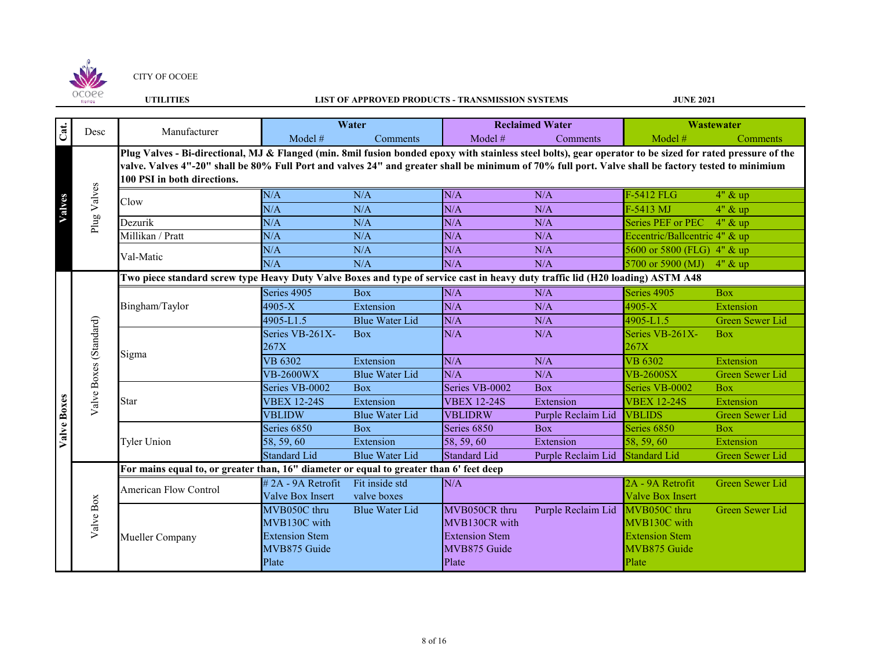

# **UTILITIES LIST OF APPROVED PRODUCTS - TRANSMISSION SYSTEMS**

| Cat.        | Desc                   | Manufacturer                                                                                                                                                                                                                                                                                                                                     |                       | Water                 |                       | <b>Reclaimed Water</b> |                               | <b>Wastewater</b>      |
|-------------|------------------------|--------------------------------------------------------------------------------------------------------------------------------------------------------------------------------------------------------------------------------------------------------------------------------------------------------------------------------------------------|-----------------------|-----------------------|-----------------------|------------------------|-------------------------------|------------------------|
|             |                        |                                                                                                                                                                                                                                                                                                                                                  | Model $#$             | Comments              | Model #               | <b>Comments</b>        | Model $#$                     | <b>Comments</b>        |
|             |                        | Plug Valves - Bi-directional, MJ & Flanged (min. 8mil fusion bonded epoxy with stainless steel bolts), gear operator to be sized for rated pressure of the<br>valve. Valves 4"-20" shall be 80% Full Port and valves 24" and greater shall be minimum of 70% full port. Valve shall be factory tested to minimium<br>100 PSI in both directions. |                       |                       |                       |                        |                               |                        |
|             | Plug Valves            | Clow                                                                                                                                                                                                                                                                                                                                             | N/A                   | N/A                   | N/A                   | N/A                    | F-5412 FLG                    | $4"$ & up              |
| Valves      |                        |                                                                                                                                                                                                                                                                                                                                                  | N/A                   | N/A                   | N/A                   | N/A                    | F-5413 MJ                     | $4"$ & up              |
|             |                        | Dezurik                                                                                                                                                                                                                                                                                                                                          | N/A                   | N/A                   | N/A                   | N/A                    | Series PEF or PEC             | $4"$ & up              |
|             |                        | Millikan / Pratt                                                                                                                                                                                                                                                                                                                                 | N/A                   | N/A                   | N/A                   | N/A                    | Eccentric/Ballcentric 4" & up |                        |
|             |                        | Val-Matic                                                                                                                                                                                                                                                                                                                                        | N/A                   | N/A                   | N/A                   | N/A                    | 5600 or 5800 (FLG) 4" & up    |                        |
|             |                        |                                                                                                                                                                                                                                                                                                                                                  | N/A                   | N/A                   | N/A                   | N/A                    | 5700 or 5900 (MJ)             | $4"$ & up              |
|             | Valve Boxes (Standard) | Two piece standard screw type Heavy Duty Valve Boxes and type of service cast in heavy duty traffic lid (H20 loading) ASTM A48                                                                                                                                                                                                                   |                       |                       |                       |                        |                               |                        |
|             |                        |                                                                                                                                                                                                                                                                                                                                                  | Series 4905           | <b>Box</b>            | N/A                   | N/A                    | Series 4905                   | <b>Box</b>             |
|             |                        | Bingham/Taylor                                                                                                                                                                                                                                                                                                                                   | $4905 - X$            | Extension             | N/A                   | N/A                    | $4905 - X$                    | Extension              |
|             |                        |                                                                                                                                                                                                                                                                                                                                                  | 4905-L1.5             | <b>Blue Water Lid</b> | N/A                   | N/A                    | 4905-L1.5                     | <b>Green Sewer Lid</b> |
|             |                        |                                                                                                                                                                                                                                                                                                                                                  | Series VB-261X-       | <b>Box</b>            | N/A                   | N/A                    | Series VB-261X-               | <b>Box</b>             |
|             |                        | Sigma                                                                                                                                                                                                                                                                                                                                            | 267X                  |                       |                       |                        | 267X                          |                        |
|             |                        |                                                                                                                                                                                                                                                                                                                                                  | VB 6302               | Extension             | N/A                   | N/A                    | <b>VB 6302</b>                | Extension              |
|             |                        |                                                                                                                                                                                                                                                                                                                                                  | <b>VB-2600WX</b>      | <b>Blue Water Lid</b> | N/A                   | N/A                    | <b>VB-2600SX</b>              | <b>Green Sewer Lid</b> |
|             |                        |                                                                                                                                                                                                                                                                                                                                                  | Series VB-0002        | <b>Box</b>            | Series VB-0002        | <b>Box</b>             | Series VB-0002                | <b>Box</b>             |
|             |                        | Star                                                                                                                                                                                                                                                                                                                                             | <b>VBEX 12-24S</b>    | Extension             | <b>VBEX 12-24S</b>    | Extension              | <b>VBEX 12-24S</b>            | Extension              |
|             |                        |                                                                                                                                                                                                                                                                                                                                                  | <b>VBLIDW</b>         | <b>Blue Water Lid</b> | <b>VBLIDRW</b>        | Purple Reclaim Lid     | <b>VBLIDS</b>                 | <b>Green Sewer Lid</b> |
| Valve Boxes |                        |                                                                                                                                                                                                                                                                                                                                                  | Series 6850           | <b>Box</b>            | Series 6850           | <b>Box</b>             | Series 6850                   | <b>Box</b>             |
|             |                        | <b>Tyler Union</b>                                                                                                                                                                                                                                                                                                                               | 58, 59, 60            | Extension             | 58, 59, 60            | Extension              | 58, 59, 60                    | Extension              |
|             |                        |                                                                                                                                                                                                                                                                                                                                                  | <b>Standard Lid</b>   | <b>Blue Water Lid</b> | <b>Standard Lid</b>   | Purple Reclaim Lid     | <b>Standard Lid</b>           | Green Sewer Lid        |
|             |                        | For mains equal to, or greater than, 16" diameter or equal to greater than 6' feet deep                                                                                                                                                                                                                                                          |                       |                       |                       |                        |                               |                        |
|             |                        | <b>American Flow Control</b>                                                                                                                                                                                                                                                                                                                     | #2A - 9A Retrofit     | Fit inside std        | N/A                   |                        | 2A - 9A Retrofit              | <b>Green Sewer Lid</b> |
|             |                        |                                                                                                                                                                                                                                                                                                                                                  | Valve Box Insert      | valve boxes           |                       |                        | <b>Valve Box Insert</b>       |                        |
|             |                        |                                                                                                                                                                                                                                                                                                                                                  | MVB050C thru          | <b>Blue Water Lid</b> | MVB050CR thru         | Purple Reclaim Lid     | MVB050C thru                  | Green Sewer Lid        |
|             | Valve Box              |                                                                                                                                                                                                                                                                                                                                                  | MVB130C with          |                       | MVB130CR with         |                        | MVB130C with                  |                        |
|             |                        | Mueller Company                                                                                                                                                                                                                                                                                                                                  | <b>Extension Stem</b> |                       | <b>Extension Stem</b> |                        | <b>Extension Stem</b>         |                        |
|             |                        |                                                                                                                                                                                                                                                                                                                                                  | MVB875 Guide          |                       | MVB875 Guide          |                        | MVB875 Guide                  |                        |
|             |                        |                                                                                                                                                                                                                                                                                                                                                  | Plate                 |                       | Plate                 |                        | Plate                         |                        |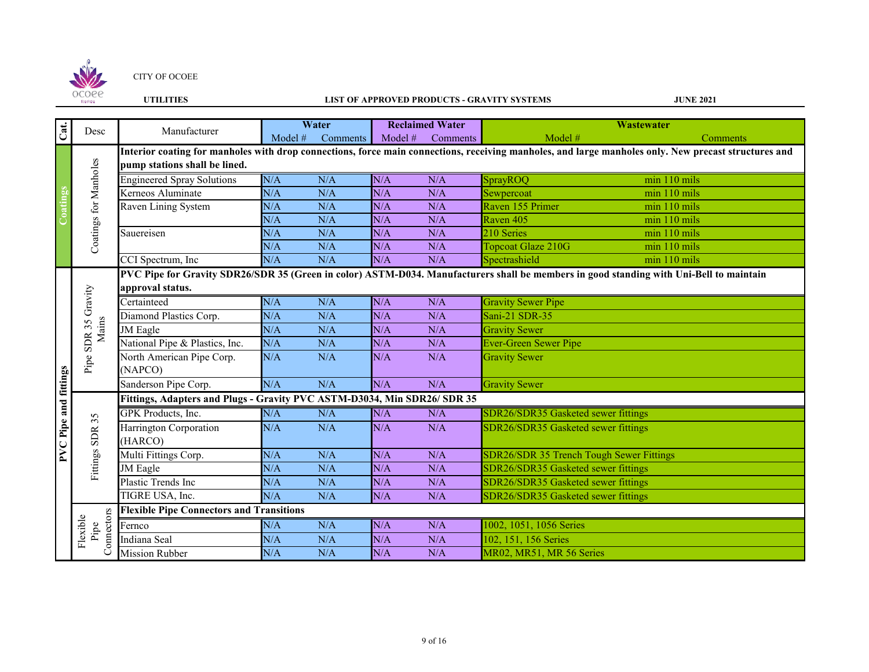

# **UTILITIES LIST OF APPROVED PRODUCTS - GRAVITY SYSTEMS**

| Coatings Cat.<br>Desc        |                                | Manufacturer                                                             |           | Water    |         | <b>Reclaimed Water</b> |                                                                                                                                                      | <b>Wastewater</b> |
|------------------------------|--------------------------------|--------------------------------------------------------------------------|-----------|----------|---------|------------------------|------------------------------------------------------------------------------------------------------------------------------------------------------|-------------------|
|                              |                                |                                                                          | Model $#$ | Comments | Model # | Comments               | Model $#$                                                                                                                                            | Comments          |
|                              |                                |                                                                          |           |          |         |                        | Interior coating for manholes with drop connections, force main connections, receiving manholes, and large manholes only. New precast structures and |                   |
|                              | Coatings for Manholes          | pump stations shall be lined.                                            |           |          |         |                        |                                                                                                                                                      |                   |
|                              |                                | <b>Engineered Spray Solutions</b>                                        | N/A       | N/A      | N/A     | N/A                    | SprayROQ                                                                                                                                             | $min$ 110 $mis$   |
|                              |                                | Kerneos Aluminate                                                        | N/A       | N/A      | N/A     | N/A                    | Sewpercoat                                                                                                                                           | min 110 mils      |
|                              |                                | Raven Lining System                                                      | N/A       | N/A      | N/A     | N/A                    | Raven 155 Primer                                                                                                                                     | min 110 mils      |
|                              |                                |                                                                          | N/A       | N/A      | N/A     | N/A                    | Raven 405                                                                                                                                            | min 110 mils      |
|                              |                                | Sauereisen                                                               | N/A       | N/A      | N/A     | N/A                    | 210 Series                                                                                                                                           | min 110 mils      |
|                              |                                |                                                                          | N/A       | N/A      | N/A     | N/A                    | Topcoat Glaze 210G                                                                                                                                   | min 110 mils      |
|                              |                                | CCI Spectrum, Inc                                                        | N/A       | N/A      | N/A     | N/A                    | Spectrashield                                                                                                                                        | min 110 mils      |
|                              |                                |                                                                          |           |          |         |                        | PVC Pipe for Gravity SDR26/SDR 35 (Green in color) ASTM-D034. Manufacturers shall be members in good standing with Uni-Bell to maintain              |                   |
|                              |                                | approval status.                                                         |           |          |         |                        |                                                                                                                                                      |                   |
|                              | Gravity                        | Certainteed                                                              | N/A       | N/A      | N/A     | N/A                    | <b>Gravity Sewer Pipe</b>                                                                                                                            |                   |
|                              |                                | Diamond Plastics Corp.                                                   | N/A       | N/A      | N/A     | N/A                    | Sani-21 SDR-35                                                                                                                                       |                   |
|                              | Mains<br>35<br>Pipe SDR        | JM Eagle                                                                 | N/A       | N/A      | N/A     | N/A                    | <b>Gravity Sewer</b>                                                                                                                                 |                   |
|                              |                                | National Pipe & Plastics, Inc.                                           | N/A       | N/A      | N/A     | N/A                    | <b>Ever-Green Sewer Pipe</b>                                                                                                                         |                   |
|                              |                                | North American Pipe Corp.                                                | N/A       | N/A      | N/A     | N/A                    | <b>Gravity Sewer</b>                                                                                                                                 |                   |
|                              |                                | (NAPCO)                                                                  |           |          |         |                        |                                                                                                                                                      |                   |
|                              |                                | Sanderson Pipe Corp.                                                     | N/A       | N/A      | N/A     | N/A                    | <b>Gravity Sewer</b>                                                                                                                                 |                   |
|                              |                                | Fittings, Adapters and Plugs - Gravity PVC ASTM-D3034, Min SDR26/ SDR 35 |           |          |         |                        |                                                                                                                                                      |                   |
| <b>PVC</b> Pipe and fittings | 35                             | <b>GPK</b> Products, Inc.                                                | N/A       | N/A      | N/A     | N/A                    | SDR26/SDR35 Gasketed sewer fittings                                                                                                                  |                   |
|                              |                                | Harrington Corporation                                                   | N/A       | N/A      | N/A     | N/A                    | SDR26/SDR35 Gasketed sewer fittings                                                                                                                  |                   |
|                              | <b>SDR</b>                     | (HARCO)                                                                  |           |          |         |                        |                                                                                                                                                      |                   |
|                              | Fittings                       | Multi Fittings Corp.                                                     | N/A       | N/A      | N/A     | N/A                    | SDR26/SDR 35 Trench Tough Sewer Fittings                                                                                                             |                   |
|                              |                                | JM Eagle                                                                 | N/A       | N/A      | N/A     | N/A                    | SDR26/SDR35 Gasketed sewer fittings                                                                                                                  |                   |
|                              |                                | Plastic Trends Inc                                                       | N/A       | N/A      | N/A     | N/A                    | SDR26/SDR35 Gasketed sewer fittings                                                                                                                  |                   |
|                              |                                | TIGRE USA, Inc.                                                          | N/A       | N/A      | N/A     | N/A                    | SDR26/SDR35 Gasketed sewer fittings                                                                                                                  |                   |
|                              |                                | <b>Flexible Pipe Connectors and Transitions</b>                          |           |          |         |                        |                                                                                                                                                      |                   |
|                              |                                | Fernco                                                                   | N/A       | N/A      | N/A     | N/A                    | 1002, 1051, 1056 Series                                                                                                                              |                   |
|                              | Connectors<br>Flexible<br>Pipe | Indiana Seal                                                             | N/A       | N/A      | N/A     | N/A                    | 102, 151, 156 Series                                                                                                                                 |                   |
|                              |                                | <b>Mission Rubber</b>                                                    | N/A       | N/A      | N/A     | N/A                    | MR02, MR51, MR 56 Series                                                                                                                             |                   |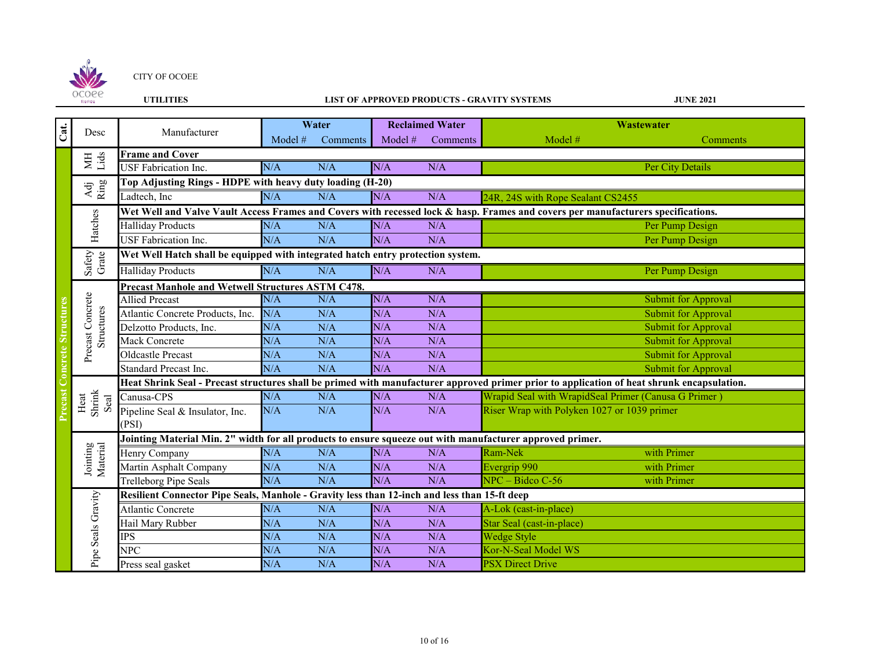

## **UTILITIES LIST OF APPROVED PRODUCTS - GRAVITY SYSTEMS**

|                                    |                                  |                                                                                                                                            |           | Water    |         | <b>Reclaimed Water</b> | <b>Wastewater</b>                                                                                                                |  |  |
|------------------------------------|----------------------------------|--------------------------------------------------------------------------------------------------------------------------------------------|-----------|----------|---------|------------------------|----------------------------------------------------------------------------------------------------------------------------------|--|--|
| $\overline{\text{Cat}}$            | Desc                             | Manufacturer                                                                                                                               | Model $#$ | Comments | Model # | Comments               | Model #<br>Comments                                                                                                              |  |  |
|                                    |                                  | <b>Frame and Cover</b>                                                                                                                     |           |          |         |                        |                                                                                                                                  |  |  |
|                                    | MH<br>Lids                       | <b>USF</b> Fabrication Inc.                                                                                                                | N/A       | N/A      | N/A     | N/A                    | Per City Details                                                                                                                 |  |  |
|                                    | $\frac{\text{Adj}}{\text{Ring}}$ | Top Adjusting Rings - HDPE with heavy duty loading (H-20)                                                                                  |           |          |         |                        |                                                                                                                                  |  |  |
|                                    |                                  | Ladtech, Inc                                                                                                                               | N/A       | N/A      | N/A     | N/A                    | 24R, 24S with Rope Sealant CS2455                                                                                                |  |  |
|                                    |                                  |                                                                                                                                            |           |          |         |                        | Wet Well and Valve Vault Access Frames and Covers with recessed lock & hasp. Frames and covers per manufacturers specifications. |  |  |
|                                    | Hatches                          | <b>Halliday Products</b>                                                                                                                   | N/A       | N/A      | N/A     | N/A                    | Per Pump Design                                                                                                                  |  |  |
|                                    |                                  | USF Fabrication Inc.                                                                                                                       | N/A       | N/A      | N/A     | N/A                    | Per Pump Design                                                                                                                  |  |  |
|                                    |                                  | Wet Well Hatch shall be equipped with integrated hatch entry protection system.                                                            |           |          |         |                        |                                                                                                                                  |  |  |
|                                    | Safety<br>Grate                  | <b>Halliday Products</b>                                                                                                                   | N/A       | N/A      | N/A     | N/A                    | Per Pump Design                                                                                                                  |  |  |
|                                    |                                  | Precast Manhole and Wetwell Structures ASTM C478.                                                                                          |           |          |         |                        |                                                                                                                                  |  |  |
|                                    |                                  | <b>Allied Precast</b>                                                                                                                      | N/A       | N/A      | N/A     | N/A                    | <b>Submit for Approval</b>                                                                                                       |  |  |
|                                    |                                  | Atlantic Concrete Products, Inc.                                                                                                           | N/A       | N/A      | N/A     | N/A                    | <b>Submit for Approval</b>                                                                                                       |  |  |
|                                    | Precast Concrete<br>Structures   | Delzotto Products, Inc.                                                                                                                    | N/A       | N/A      | N/A     | N/A                    | <b>Submit for Approval</b>                                                                                                       |  |  |
|                                    |                                  | Mack Concrete                                                                                                                              | N/A       | N/A      | N/A     | N/A                    | <b>Submit for Approval</b>                                                                                                       |  |  |
|                                    |                                  | Oldcastle Precast                                                                                                                          | N/A       | N/A      | N/A     | N/A                    | <b>Submit for Approval</b>                                                                                                       |  |  |
|                                    |                                  | <b>Standard Precast Inc.</b>                                                                                                               | N/A       | N/A      | N/A     | N/A                    | <b>Submit for Approval</b>                                                                                                       |  |  |
|                                    |                                  | Heat Shrink Seal - Precast structures shall be primed with manufacturer approved primer prior to application of heat shrunk encapsulation. |           |          |         |                        |                                                                                                                                  |  |  |
|                                    | Shrink<br>Heat<br>Seal           | Canusa-CPS                                                                                                                                 | N/A       | N/A      | N/A     | N/A                    | Wrapid Seal with WrapidSeal Primer (Canusa G Primer)                                                                             |  |  |
|                                    |                                  | Pipeline Seal & Insulator, Inc.                                                                                                            | N/A       | N/A      | N/A     | N/A                    | Riser Wrap with Polyken 1027 or 1039 primer                                                                                      |  |  |
| <b>Precast Concrete Structures</b> |                                  | (PSI)                                                                                                                                      |           |          |         |                        |                                                                                                                                  |  |  |
|                                    |                                  | Jointing Material Min. 2" width for all products to ensure squeeze out with manufacturer approved primer.                                  |           |          |         |                        |                                                                                                                                  |  |  |
|                                    | Jointing<br>Material             | Henry Company                                                                                                                              | N/A       | N/A      | N/A     | N/A                    | Ram-Nek<br>with Primer                                                                                                           |  |  |
|                                    |                                  | Martin Asphalt Company                                                                                                                     | N/A       | N/A      | N/A     | N/A                    | Evergrip 990<br>with Primer                                                                                                      |  |  |
|                                    |                                  | Trelleborg Pipe Seals                                                                                                                      | N/A       | N/A      | N/A     | N/A                    | $NPC - Bidco C-56$<br>with Primer                                                                                                |  |  |
|                                    |                                  | Resilient Connector Pipe Seals, Manhole - Gravity less than 12-inch and less than 15-ft deep                                               |           |          |         |                        |                                                                                                                                  |  |  |
|                                    |                                  | <b>Atlantic Concrete</b>                                                                                                                   | N/A       | N/A      | N/A     | N/A                    | A-Lok (cast-in-place)                                                                                                            |  |  |
|                                    |                                  | Hail Mary Rubber                                                                                                                           | N/A       | N/A      | N/A     | N/A                    | Star Seal (cast-in-place)                                                                                                        |  |  |
|                                    | Pipe Seals Gravity               | <b>IPS</b>                                                                                                                                 | N/A       | N/A      | N/A     | N/A                    | <b>Wedge Style</b>                                                                                                               |  |  |
|                                    |                                  | <b>NPC</b>                                                                                                                                 | N/A       | N/A      | N/A     | N/A                    | Kor-N-Seal Model WS                                                                                                              |  |  |
|                                    |                                  | Press seal gasket                                                                                                                          | N/A       | N/A      | N/A     | N/A                    | <b>PSX Direct Drive</b>                                                                                                          |  |  |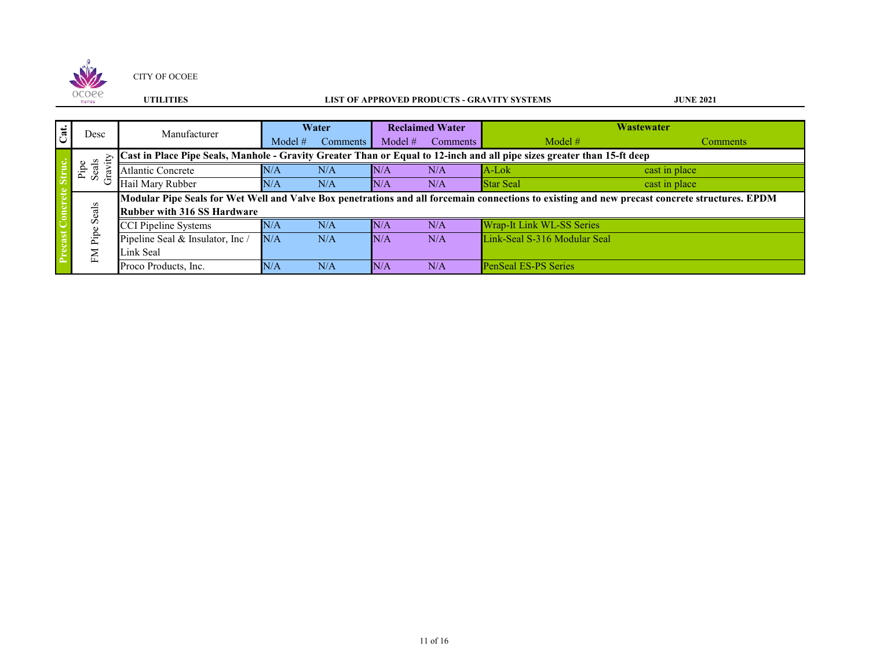

## **UTILITIES LIST OF APPROVED PRODUCTS - GRAVITY SYSTEMS**

|                         |                     |                                    | Water     |          | <b>Reclaimed Water</b> |                 | <b>Wastewater</b>                                                                                                                              |                 |
|-------------------------|---------------------|------------------------------------|-----------|----------|------------------------|-----------------|------------------------------------------------------------------------------------------------------------------------------------------------|-----------------|
| $\overline{\text{Cat}}$ | Desc                | Manufacturer                       | Model $#$ | Comments | Model $#$              | <b>Comments</b> | Model $#$                                                                                                                                      | <b>Comments</b> |
|                         |                     |                                    |           |          |                        |                 | Cast in Place Pipe Seals, Manhole - Gravity Greater Than or Equal to 12-inch and all pipe sizes greater than 15-ft deep                        |                 |
|                         | Seals<br>Pipe<br>g. | <b>Atlantic Concrete</b>           | N/A       | N/A      | N/A                    | N/A             | A-Lok                                                                                                                                          | cast in place   |
|                         |                     | Hail Mary Rubber                   | N/A       | N/A      | N/A                    | N/A             | <b>Star Seal</b>                                                                                                                               | cast in place   |
|                         |                     |                                    |           |          |                        |                 | Modular Pipe Seals for Wet Well and Valve Box penetrations and all forcemain connections to existing and new precast concrete structures. EPDM |                 |
|                         | Seals               | <b>Rubber with 316 SS Hardware</b> |           |          |                        |                 |                                                                                                                                                |                 |
|                         |                     | CCI Pipeline Systems               | N/A       | N/A      | N/A                    | N/A             | Wrap-It Link WL-SS Series                                                                                                                      |                 |
|                         | Pipe                | Pipeline Seal & Insulator, Inc /   | N/A       | N/A      | N/A                    | N/A             | Link-Seal S-316 Modular Seal                                                                                                                   |                 |
|                         | $\mathbb{N}$        | Link Seal                          |           |          |                        |                 |                                                                                                                                                |                 |
|                         |                     | Proco Products, Inc.               | N/A       | N/A      | N/A                    | N/A             | <b>PenSeal ES-PS Series</b>                                                                                                                    |                 |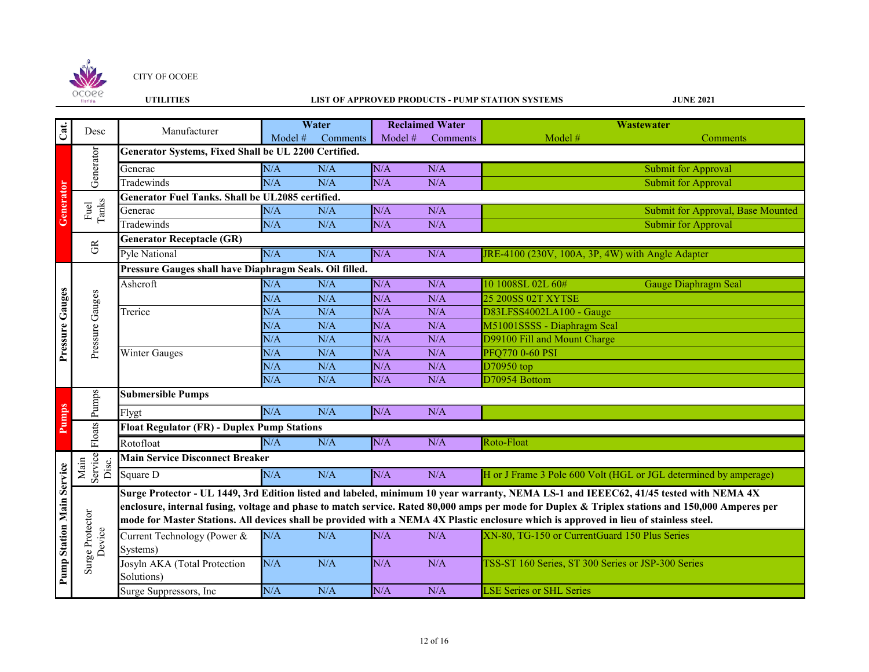

## **UTILITIES LIST OF APPROVED PRODUCTS - PUMP STATION SYSTEMS**

| Cat.                             | Desc                      | Manufacturer                                            |         | Water    |         | <b>Reclaimed Water</b> | Wastewater                                                                                                                                       |  |  |  |
|----------------------------------|---------------------------|---------------------------------------------------------|---------|----------|---------|------------------------|--------------------------------------------------------------------------------------------------------------------------------------------------|--|--|--|
|                                  |                           |                                                         | Model # | Comments | Model # | Comments               | Model #<br>Comments                                                                                                                              |  |  |  |
|                                  | Generator                 | Generator Systems, Fixed Shall be UL 2200 Certified.    |         |          |         |                        |                                                                                                                                                  |  |  |  |
|                                  |                           | Generac                                                 | N/A     | N/A      | N/A     | N/A                    | Submit for Approval                                                                                                                              |  |  |  |
|                                  |                           | Tradewinds                                              | N/A     | N/A      | N/A     | N/A                    | <b>Submit for Approval</b>                                                                                                                       |  |  |  |
|                                  |                           | <b>Generator Fuel Tanks. Shall be UL2085 certified.</b> |         |          |         |                        |                                                                                                                                                  |  |  |  |
| Generator                        | Fuel<br>Tanks             | Generac                                                 | N/A     | N/A      | N/A     | N/A                    | Submit for Approval, Base Mounted                                                                                                                |  |  |  |
|                                  |                           | Tradewinds                                              | N/A     | N/A      | N/A     | N/A                    | Submir for Approval                                                                                                                              |  |  |  |
|                                  | $\widetilde{\mathbb{G}}$  | <b>Generator Receptacle (GR)</b>                        |         |          |         |                        |                                                                                                                                                  |  |  |  |
|                                  |                           | <b>Pyle National</b>                                    | N/A     | N/A      | N/A     | N/A                    | JRE-4100 (230V, 100A, 3P, 4W) with Angle Adapter                                                                                                 |  |  |  |
|                                  |                           | Pressure Gauges shall have Diaphragm Seals. Oil filled. |         |          |         |                        |                                                                                                                                                  |  |  |  |
|                                  |                           | Ashcroft                                                | N/A     | N/A      | N/A     | N/A                    | 10 1008SL 02L 60#<br><b>Gauge Diaphragm Seal</b>                                                                                                 |  |  |  |
|                                  | Pressure Gauges           |                                                         | N/A     | N/A      | N/A     | N/A                    | 25 200SS 02T XYTSE                                                                                                                               |  |  |  |
|                                  |                           | Trerice                                                 | N/A     | N/A      | N/A     | N/A                    | D83LFSS4002LA100 - Gauge                                                                                                                         |  |  |  |
| Pressure Gauges                  |                           |                                                         | N/A     | N/A      | N/A     | N/A                    | M51001SSSS - Diaphragm Seal                                                                                                                      |  |  |  |
|                                  |                           |                                                         | N/A     | N/A      | N/A     | N/A                    | D99100 Fill and Mount Charge                                                                                                                     |  |  |  |
|                                  |                           | Winter Gauges                                           | N/A     | N/A      | N/A     | N/A                    | <b>PFQ770 0-60 PSI</b>                                                                                                                           |  |  |  |
|                                  |                           |                                                         | N/A     | N/A      | N/A     | N/A                    | D70950 top                                                                                                                                       |  |  |  |
|                                  |                           |                                                         | N/A     | N/A      | N/A     | N/A                    | D70954 Bottom                                                                                                                                    |  |  |  |
|                                  | Pumps                     | <b>Submersible Pumps</b>                                |         |          |         |                        |                                                                                                                                                  |  |  |  |
| Pumps                            |                           | Flygt                                                   | N/A     | N/A      | N/A     | N/A                    |                                                                                                                                                  |  |  |  |
|                                  | Floats                    | <b>Float Regulator (FR) - Duplex Pump Stations</b>      |         |          |         |                        |                                                                                                                                                  |  |  |  |
|                                  |                           | Rotofloat                                               | N/A     | N/A      | N/A     | N/A                    | Roto-Float                                                                                                                                       |  |  |  |
|                                  |                           | <b>Main Service Disconnect Breaker</b>                  |         |          |         |                        |                                                                                                                                                  |  |  |  |
| <b>Pump Station Main Service</b> | Main<br>Service<br>Disc.  | Square D                                                | N/A     | N/A      | N/A     | N/A                    | H or J Frame 3 Pole 600 Volt (HGL or JGL determined by amperage)                                                                                 |  |  |  |
|                                  |                           |                                                         |         |          |         |                        | Surge Protector - UL 1449, 3rd Edition listed and labeled, minimum 10 year warranty, NEMA LS-1 and IEEEC62, 41/45 tested with NEMA 4X            |  |  |  |
|                                  |                           |                                                         |         |          |         |                        | enclosure, internal fusing, voltage and phase to match service. Rated 80,000 amps per mode for Duplex & Triplex stations and 150,000 Amperes per |  |  |  |
|                                  |                           |                                                         |         |          |         |                        | mode for Master Stations. All devices shall be provided with a NEMA 4X Plastic enclosure which is approved in lieu of stainless steel.           |  |  |  |
|                                  | Surge Protector<br>Device | Current Technology (Power &                             | N/A     | N/A      | N/A     | N/A                    | XN-80, TG-150 or CurrentGuard 150 Plus Series                                                                                                    |  |  |  |
|                                  |                           | Systems)                                                |         |          |         |                        |                                                                                                                                                  |  |  |  |
|                                  |                           | Josyln AKA (Total Protection                            | N/A     | N/A      | N/A     | N/A                    | TSS-ST 160 Series, ST 300 Series or JSP-300 Series                                                                                               |  |  |  |
|                                  |                           | Solutions)                                              |         |          |         |                        |                                                                                                                                                  |  |  |  |
|                                  |                           | Surge Suppressors, Inc                                  | N/A     | N/A      | N/A     | N/A                    | <b>LSE Series or SHL Series</b>                                                                                                                  |  |  |  |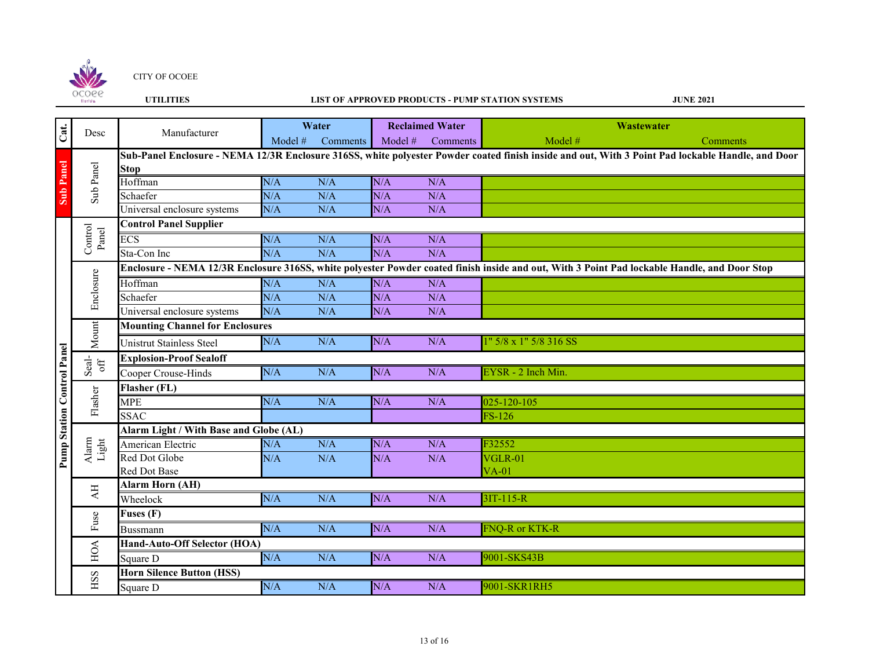

# **UTILITIES LIST OF APPROVED PRODUCTS - PUMP STATION SYSTEMS**

|                                   |                                     | Manufacturer                                                                                                                                 | Water   |          | <b>Reclaimed Water</b> |          | Wastewater                                                                                                                                        |          |  |  |
|-----------------------------------|-------------------------------------|----------------------------------------------------------------------------------------------------------------------------------------------|---------|----------|------------------------|----------|---------------------------------------------------------------------------------------------------------------------------------------------------|----------|--|--|
| Cat.                              | Desc                                |                                                                                                                                              | Model # | Comments | Model #                | Comments | Model #                                                                                                                                           | Comments |  |  |
|                                   |                                     |                                                                                                                                              |         |          |                        |          | Sub-Panel Enclosure - NEMA 12/3R Enclosure 316SS, white polyester Powder coated finish inside and out, With 3 Point Pad lockable Handle, and Door |          |  |  |
| <b>Sub Panel</b>                  |                                     | <b>Stop</b>                                                                                                                                  |         |          |                        |          |                                                                                                                                                   |          |  |  |
|                                   | Sub Panel                           | Hoffman                                                                                                                                      | N/A     | N/A      | N/A                    | N/A      |                                                                                                                                                   |          |  |  |
|                                   |                                     | Schaefer                                                                                                                                     | N/A     | N/A      | N/A                    | N/A      |                                                                                                                                                   |          |  |  |
|                                   |                                     | Universal enclosure systems                                                                                                                  | N/A     | N/A      | N/A                    | N/A      |                                                                                                                                                   |          |  |  |
|                                   | Control<br>Panel                    | <b>Control Panel Supplier</b>                                                                                                                |         |          |                        |          |                                                                                                                                                   |          |  |  |
|                                   |                                     | ECS                                                                                                                                          | N/A     | N/A      | N/A                    | N/A      |                                                                                                                                                   |          |  |  |
|                                   |                                     | Sta-Con Inc                                                                                                                                  | N/A     | N/A      | N/A                    | N/A      |                                                                                                                                                   |          |  |  |
|                                   | Enclosure                           | Enclosure - NEMA 12/3R Enclosure 316SS, white polyester Powder coated finish inside and out, With 3 Point Pad lockable Handle, and Door Stop |         |          |                        |          |                                                                                                                                                   |          |  |  |
|                                   |                                     | Hoffman                                                                                                                                      | N/A     | N/A      | N/A                    | N/A      |                                                                                                                                                   |          |  |  |
|                                   |                                     | Schaefer                                                                                                                                     | N/A     | N/A      | N/A                    | N/A      |                                                                                                                                                   |          |  |  |
|                                   |                                     | Universal enclosure systems                                                                                                                  | N/A     | N/A      | N/A                    | N/A      |                                                                                                                                                   |          |  |  |
|                                   | Mount                               | <b>Mounting Channel for Enclosures</b>                                                                                                       |         |          |                        |          |                                                                                                                                                   |          |  |  |
|                                   |                                     | Unistrut Stainless Steel                                                                                                                     | N/A     | N/A      | N/A                    | N/A      | 1" 5/8 x 1" 5/8 316 SS                                                                                                                            |          |  |  |
|                                   | Seal-<br>off                        | <b>Explosion-Proof Sealoff</b>                                                                                                               |         |          |                        |          |                                                                                                                                                   |          |  |  |
|                                   |                                     | Cooper Crouse-Hinds                                                                                                                          | N/A     | N/A      | N/A                    | N/A      | EYSR - 2 Inch Min.                                                                                                                                |          |  |  |
|                                   | Flasher                             | Flasher (FL)                                                                                                                                 |         |          |                        |          |                                                                                                                                                   |          |  |  |
| <b>Pump Station Control Panel</b> |                                     | <b>MPE</b>                                                                                                                                   | N/A     | N/A      | N/A                    | N/A      | 025-120-105                                                                                                                                       |          |  |  |
|                                   |                                     | <b>SSAC</b>                                                                                                                                  |         |          |                        |          | $FS-126$                                                                                                                                          |          |  |  |
|                                   | $\frac{\text{Alarm}}{\text{Light}}$ | Alarm Light / With Base and Globe (AL)                                                                                                       |         |          |                        |          |                                                                                                                                                   |          |  |  |
|                                   |                                     | American Electric                                                                                                                            | N/A     | N/A      | N/A                    | N/A      | F32552                                                                                                                                            |          |  |  |
|                                   |                                     | Red Dot Globe                                                                                                                                | N/A     | N/A      | N/A                    | N/A      | VGLR-01                                                                                                                                           |          |  |  |
|                                   |                                     | Red Dot Base                                                                                                                                 |         |          |                        |          | $VA-01$                                                                                                                                           |          |  |  |
|                                   | $\mathbf{A}\mathbf{H}$              | <b>Alarm Horn (AH)</b>                                                                                                                       |         |          |                        |          |                                                                                                                                                   |          |  |  |
|                                   |                                     | Wheelock                                                                                                                                     | N/A     | N/A      | N/A                    | N/A      | $3IT-115-R$                                                                                                                                       |          |  |  |
|                                   | Fuse                                | <b>Fuses (F)</b>                                                                                                                             |         |          |                        |          |                                                                                                                                                   |          |  |  |
|                                   |                                     | <b>Bussmann</b>                                                                                                                              | N/A     | N/A      | N/A                    | N/A      | FNQ-R or KTK-R                                                                                                                                    |          |  |  |
|                                   | HOA                                 | Hand-Auto-Off Selector (HOA)                                                                                                                 |         |          |                        |          |                                                                                                                                                   |          |  |  |
|                                   |                                     | Square D                                                                                                                                     | N/A     | N/A      | N/A                    | N/A      | 9001-SKS43B                                                                                                                                       |          |  |  |
|                                   | ISS                                 | <b>Horn Silence Button (HSS)</b>                                                                                                             |         |          |                        |          |                                                                                                                                                   |          |  |  |
|                                   |                                     | Square D                                                                                                                                     | N/A     | N/A      | N/A                    | N/A      | 9001-SKR1RH5                                                                                                                                      |          |  |  |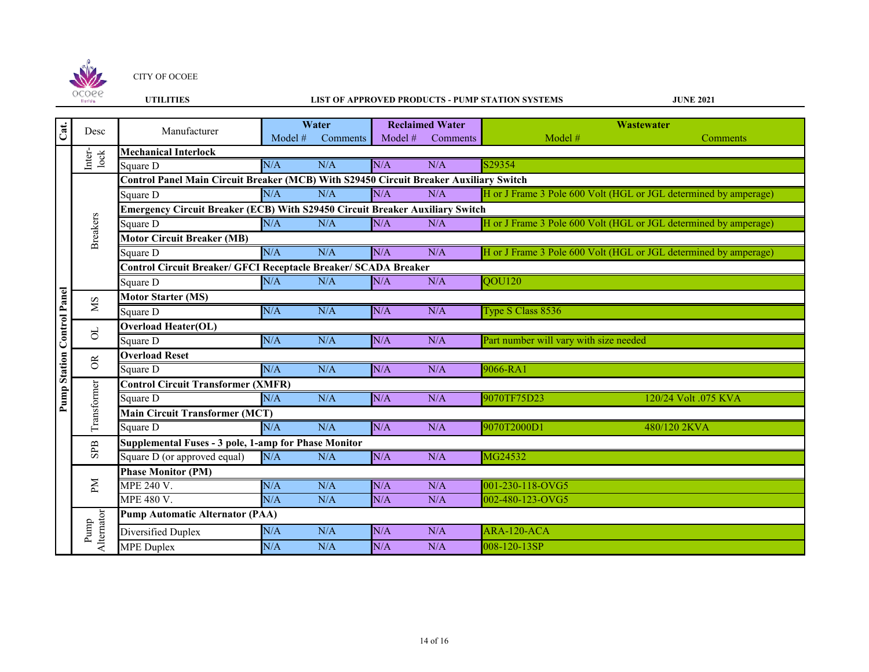

#### **UTILITIES LIST OF APPROVED PRODUCTS - PUMP STATION SYSTEMS**

| Cat.                              | Desc                      | Manufacturer                                                                          | Water   |          | <b>Reclaimed Water</b> |          | Wastewater                                                       |  |  |  |
|-----------------------------------|---------------------------|---------------------------------------------------------------------------------------|---------|----------|------------------------|----------|------------------------------------------------------------------|--|--|--|
|                                   |                           |                                                                                       | Model # | Comments | Model #                | Comments | Model #<br>Comments                                              |  |  |  |
|                                   | Inter-<br>lock            | <b>Mechanical Interlock</b>                                                           |         |          |                        |          |                                                                  |  |  |  |
|                                   |                           | Square D                                                                              | N/A     | N/A      | N/A                    | N/A      | S29354                                                           |  |  |  |
|                                   |                           | Control Panel Main Circuit Breaker (MCB) With S29450 Circuit Breaker Auxiliary Switch |         |          |                        |          |                                                                  |  |  |  |
|                                   |                           | Square D                                                                              | N/A     | N/A      | N/A                    | N/A      | H or J Frame 3 Pole 600 Volt (HGL or JGL determined by amperage) |  |  |  |
|                                   |                           | <b>Emergency Circuit Breaker (ECB) With S29450 Circuit Breaker Auxiliary Switch</b>   |         |          |                        |          |                                                                  |  |  |  |
|                                   |                           | Square D                                                                              | N/A     | N/A      | N/A                    | N/A      | H or J Frame 3 Pole 600 Volt (HGL or JGL determined by amperage) |  |  |  |
|                                   | <b>Breakers</b>           | <b>Motor Circuit Breaker (MB)</b>                                                     |         |          |                        |          |                                                                  |  |  |  |
|                                   |                           | Square D                                                                              | N/A     | N/A      | N/A                    | N/A      | H or J Frame 3 Pole 600 Volt (HGL or JGL determined by amperage) |  |  |  |
|                                   |                           | <b>Control Circuit Breaker/ GFCI Receptacle Breaker/ SCADA Breaker</b>                |         |          |                        |          |                                                                  |  |  |  |
|                                   |                           | Square D                                                                              | N/A     | N/A      | N/A                    | N/A      | QOU120                                                           |  |  |  |
| <b>Pump Station Control Panel</b> | <b>NS</b>                 | <b>Motor Starter (MS)</b>                                                             |         |          |                        |          |                                                                  |  |  |  |
|                                   |                           | Square D                                                                              | N/A     | N/A      | N/A                    | N/A      | Type S Class 8536                                                |  |  |  |
|                                   | $\Xi$                     | <b>Overload Heater(OL)</b>                                                            |         |          |                        |          |                                                                  |  |  |  |
|                                   |                           | Square D                                                                              | N/A     | N/A      | N/A                    | N/A      | Part number will vary with size needed                           |  |  |  |
|                                   | $\widetilde{\mathcal{C}}$ | <b>Overload Reset</b>                                                                 |         |          |                        |          |                                                                  |  |  |  |
|                                   |                           | Square D                                                                              | N/A     | N/A      | N/A                    | N/A      | 9066-RA1                                                         |  |  |  |
|                                   | Transformer               | <b>Control Circuit Transformer (XMFR)</b>                                             |         |          |                        |          |                                                                  |  |  |  |
|                                   |                           | Square D                                                                              | N/A     | N/A      | N/A                    | N/A      | 9070TF75D23<br>120/24 Volt .075 KVA                              |  |  |  |
|                                   |                           | <b>Main Circuit Transformer (MCT)</b>                                                 |         |          |                        |          |                                                                  |  |  |  |
|                                   |                           | Square D                                                                              | N/A     | N/A      | N/A                    | N/A      | 9070T2000D1<br>480/120 2KVA                                      |  |  |  |
|                                   | ${\rm SPB}$               | Supplemental Fuses - 3 pole, 1-amp for Phase Monitor                                  |         |          |                        |          |                                                                  |  |  |  |
|                                   |                           | Square D (or approved equal)                                                          | N/A     | N/A      | N/A                    | N/A      | MG24532                                                          |  |  |  |
|                                   |                           | <b>Phase Monitor (PM)</b>                                                             |         |          |                        |          |                                                                  |  |  |  |
|                                   | PМ                        | MPE 240 V.                                                                            | N/A     | N/A      | N/A                    | N/A      | 001-230-118-OVG5                                                 |  |  |  |
|                                   |                           | MPE 480 V.                                                                            | N/A     | N/A      | N/A                    | N/A      | 002-480-123-OVG5                                                 |  |  |  |
|                                   |                           | <b>Pump Automatic Alternator (PAA)</b>                                                |         |          |                        |          |                                                                  |  |  |  |
|                                   | Pump                      | Diversified Duplex                                                                    | N/A     | N/A      | N/A                    | N/A      | ARA-120-ACA                                                      |  |  |  |
|                                   | Alternator                | <b>MPE</b> Duplex                                                                     | N/A     | N/A      | N/A                    | N/A      | 008-120-13SP                                                     |  |  |  |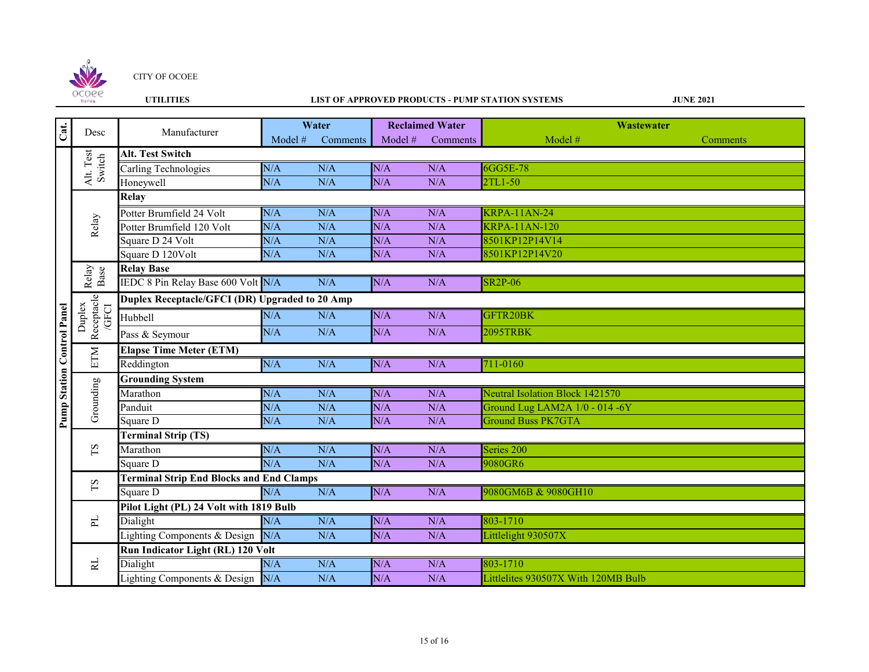

## **UTILITIES LIST OF APPROVED PRODUCTS - PUMP STATION SYSTEMS**

| Cat.                              | Desc                          | Manufacturer                                    | Water     |          | <b>Reclaimed Water</b> |          | Wastewater                             |          |  |  |
|-----------------------------------|-------------------------------|-------------------------------------------------|-----------|----------|------------------------|----------|----------------------------------------|----------|--|--|
|                                   |                               |                                                 | Model $#$ | Comments | Model #                | Comments | Model #                                | Comments |  |  |
|                                   | Alt. Test<br>Switch           | Alt. Test Switch                                |           |          |                        |          |                                        |          |  |  |
|                                   |                               | Carling Technologies                            | N/A       | N/A      | N/A                    | N/A      | 6GG5E-78                               |          |  |  |
|                                   |                               | Honeywell                                       | N/A       | N/A      | N/A                    | N/A      | 2TL1-50                                |          |  |  |
|                                   | Relay                         | Relay                                           |           |          |                        |          |                                        |          |  |  |
|                                   |                               | Potter Brumfield 24 Volt                        | N/A       | N/A      | N/A                    | N/A      | <b>KRPA-11AN-24</b>                    |          |  |  |
|                                   |                               | Potter Brumfield 120 Volt                       | N/A       | N/A      | N/A                    | N/A      | <b>KRPA-11AN-120</b>                   |          |  |  |
|                                   |                               | Square D 24 Volt                                | N/A       | N/A      | N/A                    | N/A      | 8501KP12P14V14                         |          |  |  |
|                                   |                               | Square D 120Volt                                | N/A       | N/A      | N/A                    | N/A      | 8501KP12P14V20                         |          |  |  |
|                                   | Relay<br>Base                 | <b>Relay Base</b>                               |           |          |                        |          |                                        |          |  |  |
|                                   |                               | IEDC 8 Pin Relay Base 600 Volt N/A              |           | N/A      | N/A                    | N/A      | <b>SR2P-06</b>                         |          |  |  |
|                                   | Duplex<br>Receptacle<br>/GFCI | Duplex Receptacle/GFCI (DR) Upgraded to 20 Amp  |           |          |                        |          |                                        |          |  |  |
|                                   |                               | Hubbell                                         | N/A       | N/A      | N/A                    | N/A      | GFTR20BK                               |          |  |  |
| <b>Pump Station Control Panel</b> |                               | Pass & Seymour                                  | N/A       | N/A      | N/A                    | N/A      | <b>2095TRBK</b>                        |          |  |  |
|                                   | <b>NLE</b>                    | <b>Elapse Time Meter (ETM)</b>                  |           |          |                        |          |                                        |          |  |  |
|                                   |                               | Reddington                                      | N/A       | N/A      | N/A                    | N/A      | 711-0160                               |          |  |  |
|                                   | Grounding                     | <b>Grounding System</b>                         |           |          |                        |          |                                        |          |  |  |
|                                   |                               | Marathon                                        | N/A       | N/A      | N/A                    | N/A      | <b>Neutral Isolation Block 1421570</b> |          |  |  |
|                                   |                               | Panduit                                         | N/A       | N/A      | N/A                    | N/A      | Ground Lug LAM2A 1/0 - 014 -6Y         |          |  |  |
|                                   |                               | Square D                                        | N/A       | N/A      | N/A                    | N/A      | <b>Ground Buss PK7GTA</b>              |          |  |  |
|                                   | $\mathbf{S}\mathbf{T}$        | <b>Terminal Strip (TS)</b>                      |           |          |                        |          |                                        |          |  |  |
|                                   |                               | Marathon                                        | N/A       | N/A      | N/A                    | N/A      | Series 200                             |          |  |  |
|                                   |                               | Square D                                        | N/A       | N/A      | N/A                    | N/A      | 9080GR6                                |          |  |  |
|                                   | $\mathop{\rm SI}$             | <b>Terminal Strip End Blocks and End Clamps</b> |           |          |                        |          |                                        |          |  |  |
|                                   |                               | Square D                                        | N/A       | N/A      | N/A                    | N/A      | 9080GM6B & 9080GH10                    |          |  |  |
|                                   | 뇌                             | Pilot Light (PL) 24 Volt with 1819 Bulb         |           |          |                        |          |                                        |          |  |  |
|                                   |                               | Dialight                                        | N/A       | N/A      | N/A                    | N/A      | 803-1710                               |          |  |  |
|                                   |                               | Lighting Components & Design                    | N/A       | N/A      | N/A                    | N/A      | Littlelight 930507X                    |          |  |  |
|                                   | RL                            | Run Indicator Light (RL) 120 Volt               |           |          |                        |          |                                        |          |  |  |
|                                   |                               | Dialight                                        | N/A       | N/A      | N/A                    | N/A      | 803-1710                               |          |  |  |
|                                   |                               | Lighting Components & Design N/A                |           | N/A      | N/A                    | N/A      | Littlelites 930507X With 120MB Bulb    |          |  |  |